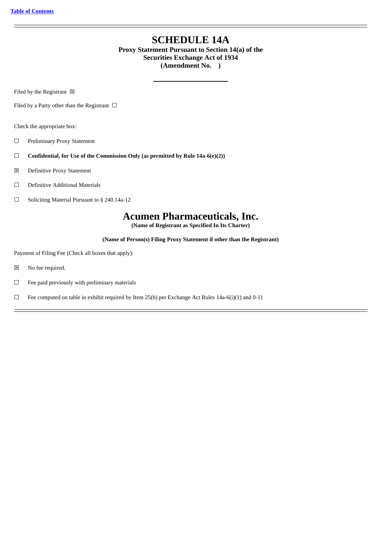# **SCHEDULE 14A**

## **Proxy Statement Pursuant to Section 14(a) of the Securities Exchange Act of 1934 (Amendment No. )**

Filed by the Registrant  $\boxtimes$ 

Filed by a Party other than the Registrant  $\Box$ 

Check the appropriate box:

- ☐ Preliminary Proxy Statement
- ☐ **Confidential, for Use of the Commission Only (as permitted by Rule 14a-6(e)(2))**
- ☒ Definitive Proxy Statement
- ☐ Definitive Additional Materials
- ☐ Soliciting Material Pursuant to § 240.14a-12

# **Acumen Pharmaceuticals, Inc.**

**(Name of Registrant as Specified In Its Charter)**

**(Name of Person(s) Filing Proxy Statement if other than the Registrant)**

Payment of Filing Fee (Check all boxes that apply):

- ☒ No fee required.
- $\qquad \Box$  Fee paid previously with preliminary materials
- □ Fee computed on table in exhibit required by Item 25(b) per Exchange Act Rules 14a-6(i)(1) and 0-11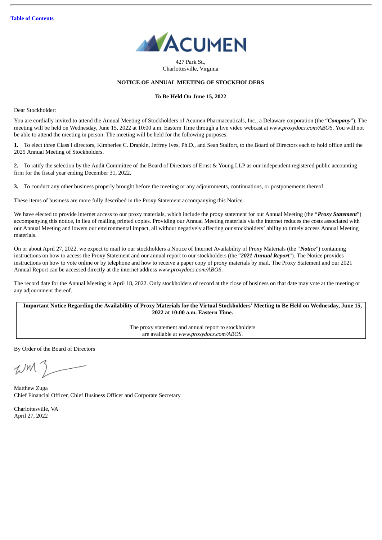

427 Park St., Charlottesville, Virginia

## **NOTICE OF ANNUAL MEETING OF STOCKHOLDERS**

#### **To Be Held On June 15, 2022**

Dear Stockholder:

You are cordially invited to attend the Annual Meeting of Stockholders of Acumen Pharmaceuticals, Inc., a Delaware corporation (the "*Company*"). The meeting will be held on Wednesday, June 15, 2022 at 10:00 a.m. Eastern Time through a live video webcast at *www.proxydocs.com/ABOS*. You will not be able to attend the meeting in person. The meeting will be held for the following purposes:

**1.** To elect three Class I directors, Kimberlee C. Drapkin, Jeffrey Ives, Ph.D., and Sean Stalfort, to the Board of Directors each to hold office until the 2025 Annual Meeting of Stockholders.

**2.** To ratify the selection by the Audit Committee of the Board of Directors of Ernst & Young LLP as our independent registered public accounting firm for the fiscal year ending December 31, 2022.

**3.** To conduct any other business properly brought before the meeting or any adjournments, continuations, or postponements thereof.

These items of business are more fully described in the Proxy Statement accompanying this Notice.

We have elected to provide internet access to our proxy materials, which include the proxy statement for our Annual Meeting (the "*Proxy Statement*") accompanying this notice, in lieu of mailing printed copies. Providing our Annual Meeting materials via the internet reduces the costs associated with our Annual Meeting and lowers our environmental impact, all without negatively affecting our stockholders' ability to timely access Annual Meeting materials.

On or about April 27, 2022, we expect to mail to our stockholders a Notice of Internet Availability of Proxy Materials (the "*Notice*") containing instructions on how to access the Proxy Statement and our annual report to our stockholders (the "*2021 Annual Report*"). The Notice provides instructions on how to vote online or by telephone and how to receive a paper copy of proxy materials by mail. The Proxy Statement and our 2021 Annual Report can be accessed directly at the internet address *www.proxydocs.com/ABOS*.

The record date for the Annual Meeting is April 18, 2022. Only stockholders of record at the close of business on that date may vote at the meeting or any adjournment thereof.

Important Notice Regarding the Availability of Proxy Materials for the Virtual Stockholders' Meeting to Be Held on Wednesday, June 15, **2022 at 10:00 a.m. Eastern Time.**

> The proxy statement and annual report to stockholders are available at *www.proxydocs.com/ABOS*.

By Order of the Board of Directors

WM

Matthew Zuga Chief Financial Officer, Chief Business Officer and Corporate Secretary

Charlottesville, VA April 27, 2022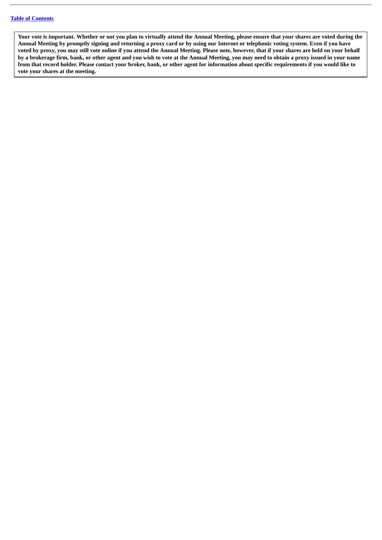Your vote is important. Whether or not you plan to virtually attend the Annual Meeting, please ensure that your shares are voted during the Annual Meeting by promptly signing and returning a proxy card or by using our Internet or telephonic voting system. Even if you have voted by proxy, you may still vote online if you attend the Annual Meeting. Please note, however, that if your shares are held on your behalf by a brokerage firm, bank, or other agent and you wish to vote at the Annual Meeting, you may need to obtain a proxy issued in your name from that record holder. Please contact your broker, bank, or other agent for information about specific requirements if you would like to **vote your shares at the meeting.**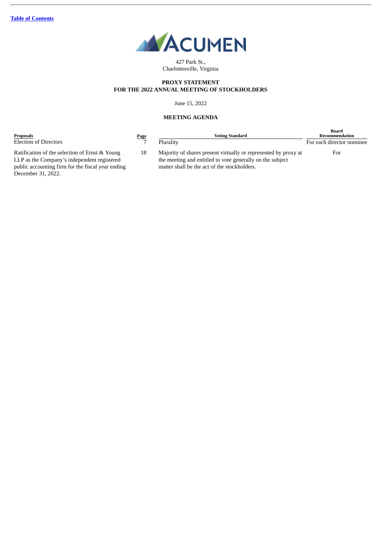

427 Park St., Charlottesville, Virginia

## **PROXY STATEMENT FOR THE 2022 ANNUAL MEETING OF STOCKHOLDERS**

## June 15, 2022

## **MEETING AGENDA**

| Proposals                                                                                     | <b>Page</b> | Voting Standard                                                                                                              | Board<br>Recommendation   |
|-----------------------------------------------------------------------------------------------|-------------|------------------------------------------------------------------------------------------------------------------------------|---------------------------|
| <b>Election of Directors</b>                                                                  |             | Plurality                                                                                                                    | For each director nominee |
| Ratification of the selection of Ernst & Young<br>LLP as the Company's independent registered | 18          | Majority of shares present virtually or represented by proxy at<br>the meeting and entitled to vote generally on the subject | For                       |
| public accounting firm for the fiscal year ending                                             |             | matter shall be the act of the stockholders.                                                                                 |                           |

Ratification of the selection of Ernst & Young LLP as the Company's independent registered public accounting firm for the fiscal year endi December 31, 2022.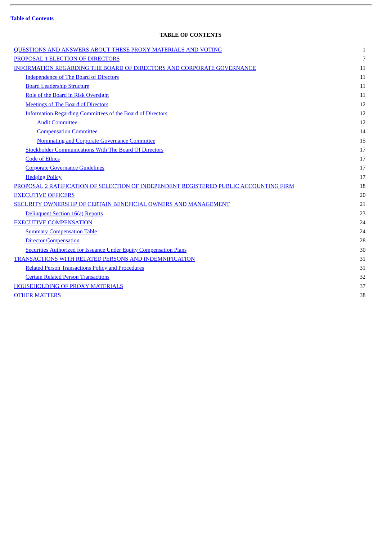|  | <b>Table of Contents</b> |
|--|--------------------------|
|  |                          |

 $\overline{a}$ 

## **TABLE OF CONTENTS**

<span id="page-4-0"></span>

| QUESTIONS AND ANSWERS ABOUT THESE PROXY MATERIALS AND VOTING                          | $\mathbf{1}$ |
|---------------------------------------------------------------------------------------|--------------|
| PROPOSAL 1 ELECTION OF DIRECTORS                                                      | 7            |
| <b>INFORMATION REGARDING THE BOARD OF DIRECTORS AND CORPORATE GOVERNANCE</b>          | 11           |
| <b>Independence of The Board of Directors</b>                                         | 11           |
| <b>Board Leadership Structure</b>                                                     | 11           |
| Role of the Board in Risk Oversight                                                   | 11           |
| <b>Meetings of The Board of Directors</b>                                             | 12           |
| <b>Information Regarding Committees of the Board of Directors</b>                     | 12           |
| <b>Audit Committee</b>                                                                | 12           |
| <b>Compensation Committee</b>                                                         | 14           |
| <b>Nominating and Corporate Governance Committee</b>                                  | 15           |
| <b>Stockholder Communications With The Board Of Directors</b>                         | 17           |
| <b>Code of Ethics</b>                                                                 | 17           |
| <b>Corporate Governance Guidelines</b>                                                | 17           |
| <b>Hedging Policy</b>                                                                 | 17           |
| PROPOSAL 2 RATIFICATION OF SELECTION OF INDEPENDENT REGISTERED PUBLIC ACCOUNTING FIRM | 18           |
| <b>EXECUTIVE OFFICERS</b>                                                             | 20           |
| SECURITY OWNERSHIP OF CERTAIN BENEFICIAL OWNERS AND MANAGEMENT                        | 21           |
| Delinquent Section 16(a) Reports                                                      | 23           |
| <b>EXECUTIVE COMPENSATION</b>                                                         | 24           |
| <b>Summary Compensation Table</b>                                                     | 24           |
| <b>Director Compensation</b>                                                          | 28           |
| <b>Securities Authorized for Issuance Under Equity Compensation Plans</b>             | 30           |
| TRANSACTIONS WITH RELATED PERSONS AND INDEMNIFICATION                                 | 31           |
| <b>Related Person Transactions Policy and Procedures</b>                              | 31           |
| <b>Certain Related Person Transactions</b>                                            | 32           |
| <b>HOUSEHOLDING OF PROXY MATERIALS</b>                                                | 37           |
| <b>OTHER MATTERS</b>                                                                  | 38           |
|                                                                                       |              |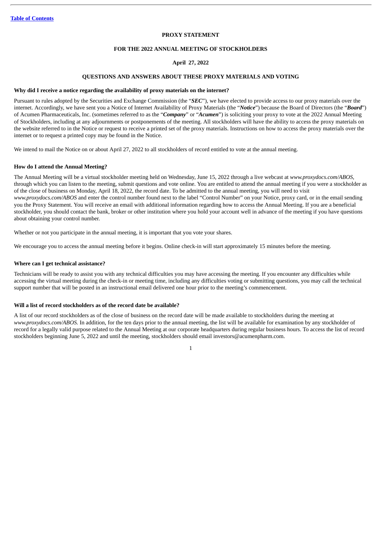## **PROXY STATEMENT**

#### **FOR THE 2022 ANNUAL MEETING OF STOCKHOLDERS**

## **April 27, 2022**

## **QUESTIONS AND ANSWERS ABOUT THESE PROXY MATERIALS AND VOTING**

#### <span id="page-5-0"></span>**Why did I receive a notice regarding the availability of proxy materials on the internet?**

Pursuant to rules adopted by the Securities and Exchange Commission (the "*SEC*"), we have elected to provide access to our proxy materials over the internet. Accordingly, we have sent you a Notice of Internet Availability of Proxy Materials (the "*Notice*") because the Board of Directors (the "*Board*") of Acumen Pharmaceuticals, Inc. (sometimes referred to as the "*Company*" or "*Acumen*") is soliciting your proxy to vote at the 2022 Annual Meeting of Stockholders, including at any adjournments or postponements of the meeting. All stockholders will have the ability to access the proxy materials on the website referred to in the Notice or request to receive a printed set of the proxy materials. Instructions on how to access the proxy materials over the internet or to request a printed copy may be found in the Notice.

We intend to mail the Notice on or about April 27, 2022 to all stockholders of record entitled to vote at the annual meeting.

#### **How do I attend the Annual Meeting?**

The Annual Meeting will be a virtual stockholder meeting held on Wednesday, June 15, 2022 through a live webcast at *www.proxydocs.com/ABOS*, through which you can listen to the meeting, submit questions and vote online. You are entitled to attend the annual meeting if you were a stockholder as of the close of business on Monday, April 18, 2022, the record date. To be admitted to the annual meeting, you will need to visit *www.proxydocs.com/ABOS* and enter the control number found next to the label "Control Number" on your Notice, proxy card, or in the email sending you the Proxy Statement. You will receive an email with additional information regarding how to access the Annual Meeting. If you are a beneficial stockholder, you should contact the bank, broker or other institution where you hold your account well in advance of the meeting if you have questions about obtaining your control number.

Whether or not you participate in the annual meeting, it is important that you vote your shares.

We encourage you to access the annual meeting before it begins. Online check-in will start approximately 15 minutes before the meeting.

#### **Where can I get technical assistance?**

Technicians will be ready to assist you with any technical difficulties you may have accessing the meeting. If you encounter any difficulties while accessing the virtual meeting during the check-in or meeting time, including any difficulties voting or submitting questions, you may call the technical support number that will be posted in an instructional email delivered one hour prior to the meeting's commencement.

### **Will a list of record stockholders as of the record date be available?**

A list of our record stockholders as of the close of business on the record date will be made available to stockholders during the meeting at *www.proxydocs.com/ABOS.* In addition, for the ten days prior to the annual meeting, the list will be available for examination by any stockholder of record for a legally valid purpose related to the Annual Meeting at our corporate headquarters during regular business hours. To access the list of record stockholders beginning June 5, 2022 and until the meeting, stockholders should email investors@acumenpharm.com.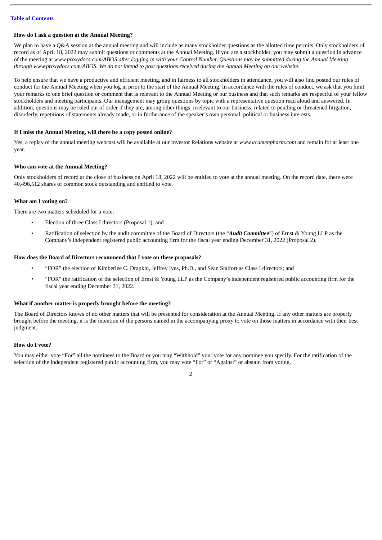## **How do I ask a question at the Annual Meeting?**

We plan to have a O&A session at the annual meeting and will include as many stockholder questions as the allotted time permits. Only stockholders of record as of April 18, 2022 may submit questions or comments at the Annual Meeting. If you are a stockholder, you may submit a question in advance of the meeting at www.proxydocs.com/ABOS after logging in with your Control Number. Questions may be submitted during the Annual Meeting through www.proxydocs.com/ABOS. We do not intend to post questions received during the Annual Meeting on our website.

To help ensure that we have a productive and efficient meeting, and in fairness to all stockholders in attendance, you will also find posted our rules of conduct for the Annual Meeting when you log in prior to the start of the Annual Meeting. In accordance with the rules of conduct, we ask that you limit your remarks to one brief question or comment that is relevant to the Annual Meeting or our business and that such remarks are respectful of your fellow stockholders and meeting participants. Our management may group questions by topic with a representative question read aloud and answered. In addition, questions may be ruled out of order if they are, among other things, irrelevant to our business, related to pending or threatened litigation, disorderly, repetitious of statements already made, or in furtherance of the speaker's own personal, political or business interests.

## **If I miss the Annual Meeting, will there be a copy posted online?**

Yes, a replay of the annual meeting webcast will be available at our Investor Relations website at *www.acumenpharm.com* and remain for at least one year.

## **Who can vote at the Annual Meeting?**

Only stockholders of record at the close of business on April 18, 2022 will be entitled to vote at the annual meeting. On the record date, there were 40,496,512 shares of common stock outstanding and entitled to vote.

## **What am I voting on?**

There are two matters scheduled for a vote:

- Election of three Class I directors (Proposal 1); and
- Ratification of selection by the audit committee of the Board of Directors (the "*Audit Committee*") of Ernst & Young LLP as the Company's independent registered public accounting firm for the fiscal year ending December 31, 2022 (Proposal 2).

#### **How does the Board of Directors recommend that I vote on these proposals?**

- "FOR" the election of Kimberlee C. Drapkin, Jeffrey Ives, Ph.D., and Sean Stalfort as Class I directors; and
- "FOR" the ratification of the selection of Ernst & Young LLP as the Company's independent registered public accounting firm for the fiscal year ending December 31, 2022.

#### **What if another matter is properly brought before the meeting?**

The Board of Directors knows of no other matters that will be presented for consideration at the Annual Meeting. If any other matters are properly brought before the meeting, it is the intention of the persons named in the accompanying proxy to vote on those matters in accordance with their best judgment.

#### **How do I vote?**

You may either vote "For" all the nominees to the Board or you may "Withhold" your vote for any nominee you specify. For the ratification of the selection of the independent registered public accounting firm, you may vote "For" or "Against" or abstain from voting.

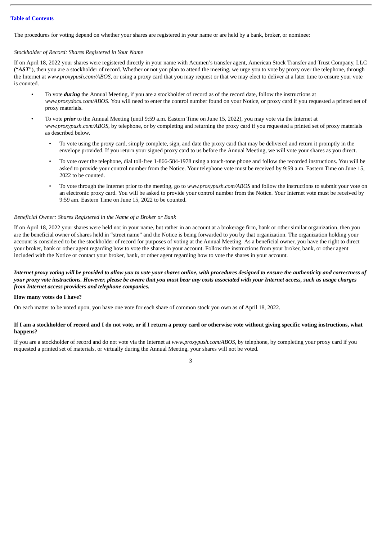The procedures for voting depend on whether your shares are registered in your name or are held by a bank, broker, or nominee:

## *Stockholder of Record: Shares Registered in Your Name*

If on April 18, 2022 your shares were registered directly in your name with Acumen's transfer agent, American Stock Transfer and Trust Company, LLC ("AST"), then you are a stockholder of record. Whether or not you plan to attend the meeting, we urge you to vote by proxy over the telephone, through the Internet at *www.proxypush.com/ABOS*, or using a proxy card that you may request or that we may elect to deliver at a later time to ensure your vote is counted.

- To vote *during* the Annual Meeting, if you are a stockholder of record as of the record date, follow the instructions at *www.proxydocs.com/ABOS*. You will need to enter the control number found on your Notice, or proxy card if you requested a printed set of proxy materials.
- To vote *prior* to the Annual Meeting (until 9:59 a.m. Eastern Time on June 15, 2022), you may vote via the Internet at *www.proxypush.com/ABOS*, by telephone, or by completing and returning the proxy card if you requested a printed set of proxy materials as described below.
	- To vote using the proxy card, simply complete, sign, and date the proxy card that may be delivered and return it promptly in the envelope provided. If you return your signed proxy card to us before the Annual Meeting, we will vote your shares as you direct.
	- To vote over the telephone, dial toll-free 1-866-584-1978 using a touch-tone phone and follow the recorded instructions. You will be asked to provide your control number from the Notice. Your telephone vote must be received by 9:59 a.m. Eastern Time on June 15, 2022 to be counted.
	- To vote through the Internet prior to the meeting, go to *www.proxypush.com/ABOS* and follow the instructions to submit your vote on an electronic proxy card. You will be asked to provide your control number from the Notice. Your Internet vote must be received by 9:59 am. Eastern Time on June 15, 2022 to be counted.

## *Beneficial Owner: Shares Registered in the Name of a Broker or Bank*

If on April 18, 2022 your shares were held not in your name, but rather in an account at a brokerage firm, bank or other similar organization, then you are the beneficial owner of shares held in "street name" and the Notice is being forwarded to you by that organization. The organization holding your account is considered to be the stockholder of record for purposes of voting at the Annual Meeting. As a beneficial owner, you have the right to direct your broker, bank or other agent regarding how to vote the shares in your account. Follow the instructions from your broker, bank, or other agent included with the Notice or contact your broker, bank, or other agent regarding how to vote the shares in your account.

## Internet proxy voting will be provided to allow you to vote your shares online, with procedures designed to ensure the authenticity and correctness of your proxy vote instructions. However, please be aware that you must bear any costs associated with your Internet access, such as usage charges *from Internet access providers and telephone companies.*

### **How many votes do I have?**

On each matter to be voted upon, you have one vote for each share of common stock you own as of April 18, 2022.

## If I am a stockholder of record and I do not vote, or if I return a proxy card or otherwise vote without giving specific voting instructions, what **happens?**

If you are a stockholder of record and do not vote via the Internet at *www.proxypush.com/ABOS*, by telephone, by completing your proxy card if you requested a printed set of materials, or virtually during the Annual Meeting, your shares will not be voted.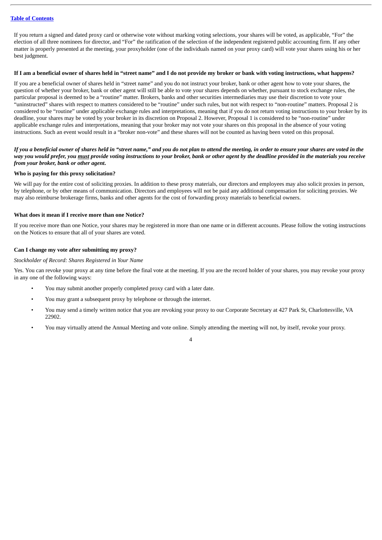If you return a signed and dated proxy card or otherwise vote without marking voting selections, your shares will be voted, as applicable, "For" the election of all three nominees for director, and "For" the ratification of the selection of the independent registered public accounting firm. If any other matter is properly presented at the meeting, your proxyholder (one of the individuals named on your proxy card) will vote your shares using his or her best judgment.

#### If I am a beneficial owner of shares held in "street name" and I do not provide my broker or bank with voting instructions, what happens?

If you are a beneficial owner of shares held in "street name" and you do not instruct your broker, bank or other agent how to vote your shares, the question of whether your broker, bank or other agent will still be able to vote your shares depends on whether, pursuant to stock exchange rules, the particular proposal is deemed to be a "routine" matter. Brokers, banks and other securities intermediaries may use their discretion to vote your "uninstructed" shares with respect to matters considered to be "routine" under such rules, but not with respect to "non-routine" matters. Proposal 2 is considered to be "routine" under applicable exchange rules and interpretations, meaning that if you do not return voting instructions to your broker by its deadline, your shares may be voted by your broker in its discretion on Proposal 2. However, Proposal 1 is considered to be "non-routine" under applicable exchange rules and interpretations, meaning that your broker may not vote your shares on this proposal in the absence of your voting instructions. Such an event would result in a "broker non-vote" and these shares will not be counted as having been voted on this proposal.

## If you a beneficial owner of shares held in "street name," and you do not plan to attend the meeting, in order to ensure your shares are voted in the way you would prefer, you must provide voting instructions to your broker, bank or other agent by the deadline provided in the materials you receive *from your broker, bank or other agent***.**

## **Who is paying for this proxy solicitation?**

We will pay for the entire cost of soliciting proxies. In addition to these proxy materials, our directors and employees may also solicit proxies in person, by telephone, or by other means of communication. Directors and employees will not be paid any additional compensation for soliciting proxies. We may also reimburse brokerage firms, banks and other agents for the cost of forwarding proxy materials to beneficial owners.

## **What does it mean if I receive more than one Notice?**

If you receive more than one Notice, your shares may be registered in more than one name or in different accounts. Please follow the voting instructions on the Notices to ensure that all of your shares are voted.

## **Can I change my vote after submitting my proxy?**

#### *Stockholder of Record: Shares Registered in Your Name*

Yes. You can revoke your proxy at any time before the final vote at the meeting. If you are the record holder of your shares, you may revoke your proxy in any one of the following ways:

- You may submit another properly completed proxy card with a later date.
- You may grant a subsequent proxy by telephone or through the internet.
- You may send a timely written notice that you are revoking your proxy to our Corporate Secretary at 427 Park St, Charlottesville, VA 22902.
- You may virtually attend the Annual Meeting and vote online. Simply attending the meeting will not, by itself, revoke your proxy.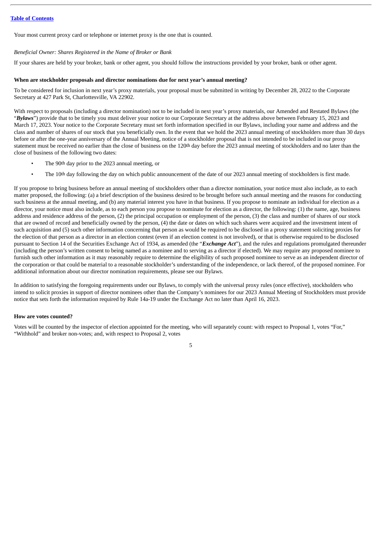Your most current proxy card or telephone or internet proxy is the one that is counted.

## *Beneficial Owner: Shares Registered in the Name of Broker or Bank*

If your shares are held by your broker, bank or other agent, you should follow the instructions provided by your broker, bank or other agent.

## **When are stockholder proposals and director nominations due for next year's annual meeting?**

To be considered for inclusion in next year's proxy materials, your proposal must be submitted in writing by December 28, 2022 to the Corporate Secretary at 427 Park St, Charlottesville, VA 22902.

With respect to proposals (including a director nomination) not to be included in next year's proxy materials, our Amended and Restated Bylaws (the "Bylaws") provide that to be timely you must deliver your notice to our Corporate Secretary at the address above between February 15, 2023 and March 17, 2023. Your notice to the Corporate Secretary must set forth information specified in our Bylaws, including your name and address and the class and number of shares of our stock that you beneficially own. In the event that we hold the 2023 annual meeting of stockholders more than 30 days before or after the one-year anniversary of the Annual Meeting, notice of a stockholder proposal that is not intended to be included in our proxy statement must be received no earlier than the close of business on the 120<sup>th</sup> day before the 2023 annual meeting of stockholders and no later than the close of business of the following two dates:

- The 90th day prior to the 2023 annual meeting, or
- The 10<sup>th</sup> day following the day on which public announcement of the date of our 2023 annual meeting of stockholders is first made.

If you propose to bring business before an annual meeting of stockholders other than a director nomination, your notice must also include, as to each matter proposed, the following: (a) a brief description of the business desired to be brought before such annual meeting and the reasons for conducting such business at the annual meeting, and (b) any material interest you have in that business. If you propose to nominate an individual for election as a director, your notice must also include, as to each person you propose to nominate for election as a director, the following: (1) the name, age, business address and residence address of the person, (2) the principal occupation or employment of the person, (3) the class and number of shares of our stock that are owned of record and beneficially owned by the person, (4) the date or dates on which such shares were acquired and the investment intent of such acquisition and (5) such other information concerning that person as would be required to be disclosed in a proxy statement soliciting proxies for the election of that person as a director in an election contest (even if an election contest is not involved), or that is otherwise required to be disclosed pursuant to Section 14 of the Securities Exchange Act of 1934, as amended (the "*Exchange Act*"), and the rules and regulations promulgated thereunder (including the person's written consent to being named as a nominee and to serving as a director if elected). We may require any proposed nominee to furnish such other information as it may reasonably require to determine the eligibility of such proposed nominee to serve as an independent director of the corporation or that could be material to a reasonable stockholder's understanding of the independence, or lack thereof, of the proposed nominee. For additional information about our director nomination requirements, please see our Bylaws.

In addition to satisfying the foregoing requirements under our Bylaws, to comply with the universal proxy rules (once effective), stockholders who intend to solicit proxies in support of director nominees other than the Company's nominees for our 2023 Annual Meeting of Stockholders must provide notice that sets forth the information required by Rule 14a-19 under the Exchange Act no later than April 16, 2023.

#### **How are votes counted?**

Votes will be counted by the inspector of election appointed for the meeting, who will separately count: with respect to Proposal 1, votes "For," "Withhold" and broker non-votes; and, with respect to Proposal 2, votes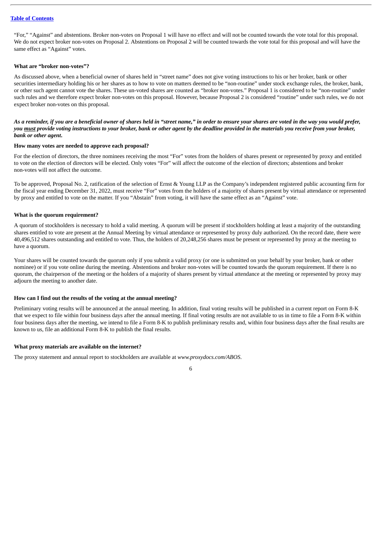"For," "Against" and abstentions. Broker non-votes on Proposal 1 will have no effect and will not be counted towards the vote total for this proposal. We do not expect broker non-votes on Proposal 2. Abstentions on Proposal 2 will be counted towards the vote total for this proposal and will have the same effect as "Against" votes.

## **What are "broker non-votes"?**

As discussed above, when a beneficial owner of shares held in "street name" does not give voting instructions to his or her broker, bank or other securities intermediary holding his or her shares as to how to vote on matters deemed to be "non-routine" under stock exchange rules, the broker, bank, or other such agent cannot vote the shares. These un-voted shares are counted as "broker non-votes." Proposal 1 is considered to be "non-routine" under such rules and we therefore expect broker non-votes on this proposal. However, because Proposal 2 is considered "routine" under such rules, we do not expect broker non-votes on this proposal.

## As a reminder, if you are a beneficial owner of shares held in "street name," in order to ensure your shares are voted in the way you would prefer, you must provide voting instructions to your broker, bank or other agent by the deadline provided in the materials you receive from your broker, *bank or other agent***.**

### **How many votes are needed to approve each proposal?**

For the election of directors, the three nominees receiving the most "For" votes from the holders of shares present or represented by proxy and entitled to vote on the election of directors will be elected. Only votes "For" will affect the outcome of the election of directors; abstentions and broker non-votes will not affect the outcome.

To be approved, Proposal No. 2, ratification of the selection of Ernst & Young LLP as the Company's independent registered public accounting firm for the fiscal year ending December 31, 2022, must receive "For" votes from the holders of a majority of shares present by virtual attendance or represented by proxy and entitled to vote on the matter. If you "Abstain" from voting, it will have the same effect as an "Against" vote.

## **What is the quorum requirement?**

A quorum of stockholders is necessary to hold a valid meeting. A quorum will be present if stockholders holding at least a majority of the outstanding shares entitled to vote are present at the Annual Meeting by virtual attendance or represented by proxy duly authorized. On the record date, there were 40,496,512 shares outstanding and entitled to vote. Thus, the holders of 20,248,256 shares must be present or represented by proxy at the meeting to have a quorum.

Your shares will be counted towards the quorum only if you submit a valid proxy (or one is submitted on your behalf by your broker, bank or other nominee) or if you vote online during the meeting. Abstentions and broker non-votes will be counted towards the quorum requirement. If there is no quorum, the chairperson of the meeting or the holders of a majority of shares present by virtual attendance at the meeting or represented by proxy may adjourn the meeting to another date.

## **How can I find out the results of the voting at the annual meeting?**

Preliminary voting results will be announced at the annual meeting. In addition, final voting results will be published in a current report on Form 8-K that we expect to file within four business days after the annual meeting. If final voting results are not available to us in time to file a Form 8-K within four business days after the meeting, we intend to file a Form 8-K to publish preliminary results and, within four business days after the final results are known to us, file an additional Form 8-K to publish the final results.

## **What proxy materials are available on the internet?**

The proxy statement and annual report to stockholders are available at *www.proxydocs.com/ABOS*.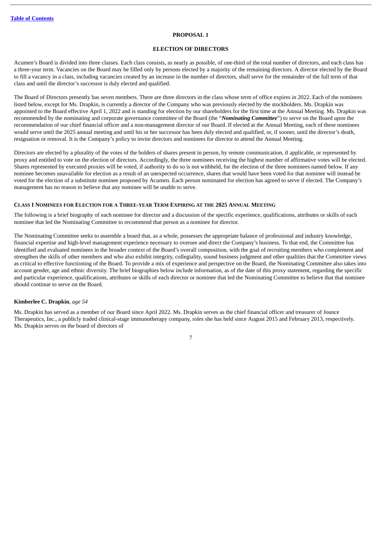#### **PROPOSAL 1**

#### **ELECTION OF DIRECTORS**

<span id="page-11-0"></span>Acumen's Board is divided into three classes. Each class consists, as nearly as possible, of one-third of the total number of directors, and each class has a three-year term. Vacancies on the Board may be filled only by persons elected by a majority of the remaining directors. A director elected by the Board to fill a vacancy in a class, including vacancies created by an increase in the number of directors, shall serve for the remainder of the full term of that class and until the director's successor is duly elected and qualified.

The Board of Directors presently has seven members. There are three directors in the class whose term of office expires in 2022. Each of the nominees listed below, except for Ms. Drapkin, is currently a director of the Company who was previously elected by the stockholders. Ms. Drapkin was appointed to the Board effective April 1, 2022 and is standing for election by our shareholders for the first time at the Annual Meeting. Ms. Drapkin was recommended by the nominating and corporate governance committee of the Board (the "*Nominating Committee*") to serve on the Board upon the recommendation of our chief financial officer and a non-management director of our Board. If elected at the Annual Meeting, each of these nominees would serve until the 2025 annual meeting and until his or her successor has been duly elected and qualified, or, if sooner, until the director's death, resignation or removal. It is the Company's policy to invite directors and nominees for director to attend the Annual Meeting.

Directors are elected by a plurality of the votes of the holders of shares present in person, by remote communication, if applicable, or represented by proxy and entitled to vote on the election of directors. Accordingly, the three nominees receiving the highest number of affirmative votes will be elected. Shares represented by executed proxies will be voted, if authority to do so is not withheld, for the election of the three nominees named below. If any nominee becomes unavailable for election as a result of an unexpected occurrence, shares that would have been voted for that nominee will instead be voted for the election of a substitute nominee proposed by Acumen. Each person nominated for election has agreed to serve if elected. The Company's management has no reason to believe that any nominee will be unable to serve.

#### CLASS I NOMINEES FOR ELECTION FOR A THREE-YEAR TERM EXPIRING AT THE 2025 ANNUAL MEETING

The following is a brief biography of each nominee for director and a discussion of the specific experience, qualifications, attributes or skills of each nominee that led the Nominating Committee to recommend that person as a nominee for director.

The Nominating Committee seeks to assemble a board that, as a whole, possesses the appropriate balance of professional and industry knowledge, financial expertise and high-level management experience necessary to oversee and direct the Company's business. To that end, the Committee has identified and evaluated nominees in the broader context of the Board's overall composition, with the goal of recruiting members who complement and strengthen the skills of other members and who also exhibit integrity, collegiality, sound business judgment and other qualities that the Committee views as critical to effective functioning of the Board. To provide a mix of experience and perspective on the Board, the Nominating Committee also takes into account gender, age and ethnic diversity. The brief biographies below include information, as of the date of this proxy statement, regarding the specific and particular experience, qualifications, attributes or skills of each director or nominee that led the Nominating Committee to believe that that nominee should continue to serve on the Board.

## **Kimberlee C. Drapkin***, age 54*

Ms. Drapkin has served as a member of our Board since April 2022. Ms. Drapkin serves as the chief financial officer and treasurer of Jounce Therapeutics, Inc., a publicly traded clinical-stage immunotherapy company, roles she has held since August 2015 and February 2013, respectively. Ms. Drapkin serves on the board of directors of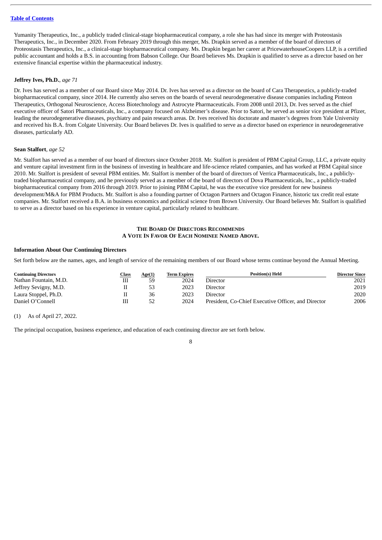Yumanity Therapeutics, Inc., a publicly traded clinical-stage biopharmaceutical company, a role she has had since its merger with Proteostasis Therapeutics, Inc., in December 2020. From February 2019 through this merger, Ms. Drapkin served as a member of the board of directors of Proteostasis Therapeutics, Inc., a clinical-stage biopharmaceutical company. Ms. Drapkin began her career at PricewaterhouseCoopers LLP, is a certified public accountant and holds a B.S. in accounting from Babson College. Our Board believes Ms. Drapkin is qualified to serve as a director based on her extensive financial expertise within the pharmaceutical industry.

## **Jeffrey Ives, Ph.D.***, age 71*

Dr. Ives has served as a member of our Board since May 2014. Dr. Ives has served as a director on the board of Cara Therapeutics, a publicly-traded biopharmaceutical company, since 2014. He currently also serves on the boards of several neurodegenerative disease companies including Pinteon Therapeutics, Orthogonal Neuroscience, Access Biotechnology and Astrocyte Pharmaceuticals. From 2008 until 2013, Dr. Ives served as the chief executive officer of Satori Pharmaceuticals, Inc., a company focused on Alzheimer's disease. Prior to Satori, he served as senior vice president at Pfizer, leading the neurodegenerative diseases, psychiatry and pain research areas. Dr. Ives received his doctorate and master's degrees from Yale University and received his B.A. from Colgate University. Our Board believes Dr. Ives is qualified to serve as a director based on experience in neurodegenerative diseases, particularly AD.

## **Sean Stalfort***, age 52*

Mr. Stalfort has served as a member of our board of directors since October 2018. Mr. Stalfort is president of PBM Capital Group, LLC, a private equity and venture capital investment firm in the business of investing in healthcare and life-science related companies, and has worked at PBM Capital since 2010. Mr. Stalfort is president of several PBM entities. Mr. Stalfort is member of the board of directors of Verrica Pharmaceuticals, Inc., a publiclytraded biopharmaceutical company, and he previously served as a member of the board of directors of Dova Pharmaceuticals, Inc., a publicly-traded biopharmaceutical company from 2016 through 2019. Prior to joining PBM Capital, he was the executive vice president for new business development/M&A for PBM Products. Mr. Stalfort is also a founding partner of Octagon Partners and Octagon Finance, historic tax credit real estate companies. Mr. Stalfort received a B.A. in business economics and political science from Brown University. Our Board believes Mr. Stalfort is qualified to serve as a director based on his experience in venture capital, particularly related to healthcare.

## **THE BOARD OF DIRECTORS RECOMMENDS A VOTE IN FAVOR OF EACH NOMINEE NAMED ABOVE.**

#### **Information About Our Continuing Directors**

Set forth below are the names, ages, and length of service of the remaining members of our Board whose terms continue beyond the Annual Meeting.

| <b>Continuing Directors</b> | Class | Age(1) | Term Expires | <b>Position(s) Held</b>                             | <b>Director Since</b> |
|-----------------------------|-------|--------|--------------|-----------------------------------------------------|-----------------------|
| Nathan Fountain, M.D.       |       | 59     | 2024         | Director                                            | 2021                  |
| Jeffrey Sevigny, M.D.       |       | 53     | 2023         | Director                                            | 2019                  |
| Laura Stoppel, Ph.D.        |       | 36     | 2023         | Director                                            | 2020                  |
| Daniel O'Connell            |       | 52     | 2024         | President, Co-Chief Executive Officer, and Director | 2006                  |

(1) As of April 27, 2022.

The principal occupation, business experience, and education of each continuing director are set forth below.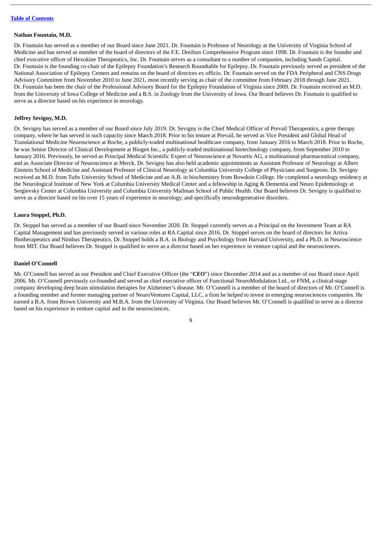#### **Nathan Fountain, M.D.**

Dr. Fountain has served as a member of our Board since June 2021. Dr. Fountain is Professor of Neurology at the University of Virginia School of Medicine and has served as member of the board of directors of the F.E. Dreifuss Comprehensive Program since 1998. Dr. Fountain is the founder and chief executive officer of Hexokine Therapeutics, Inc. Dr. Fountain serves as a consultant to a number of companies, including Sands Capital. Dr. Fountain is the founding co-chair of the Epilepsy Foundation's Research Roundtable for Epilepsy. Dr. Fountain previously served as president of the National Association of Epilepsy Centers and remains on the board of directors ex officio. Dr. Fountain served on the FDA Peripheral and CNS Drugs Advisory Committee from November 2010 to June 2021, most recently serving as chair of the committee from February 2018 through June 2021. Dr. Fountain has been the chair of the Professional Advisory Board for the Epilepsy Foundation of Virginia since 2009. Dr. Fountain received an M.D. from the University of Iowa College of Medicine and a B.S. in Zoology from the University of Iowa. Our Board believes Dr. Fountain is qualified to serve as a director based on his experience in neurology.

#### **Jeffrey Sevigny, M.D.**

Dr. Sevigny has served as a member of our Board since July 2019. Dr. Sevigny is the Chief Medical Officer of Prevail Therapeutics, a gene therapy company, where he has served in such capacity since March 2018. Prior to his tenure at Prevail, he served as Vice President and Global Head of Translational Medicine Neuroscience at Roche, a publicly-traded multinational healthcare company, from January 2016 to March 2018. Prior to Roche, he was Senior Director of Clinical Development at Biogen Inc., a publicly-traded multinational biotechnology company, from September 2010 to January 2016. Previously, he served as Principal Medical Scientific Expert of Neuroscience at Novartis AG, a multinational pharmaceutical company, and as Associate Director of Neuroscience at Merck. Dr. Sevigny has also held academic appointments as Assistant Professor of Neurology at Albert Einstein School of Medicine and Assistant Professor of Clinical Neurology at Columbia University College of Physicians and Surgeons. Dr. Sevigny received an M.D. from Tufts University School of Medicine and an A.B. in biochemistry from Bowdoin College. He completed a neurology residency at the Neurological Institute of New York at Columbia University Medical Center and a fellowship in Aging & Dementia and Neuro Epidemiology at Sergievsky Center at Columbia University and Columbia University Mailman School of Public Health. Our Board believes Dr. Sevigny is qualified to serve as a director based on his over 15 years of experience in neurology, and specifically neurodegenerative disorders.

#### **Laura Stoppel, Ph.D.**

Dr. Stoppel has served as a member of our Board since November 2020. Dr. Stoppel currently serves as a Principal on the Investment Team at RA Capital Management and has previously served in various roles at RA Capital since 2016. Dr. Stoppel serves on the board of directors for Artiva Biotherapeutics and Nimbus Therapeutics. Dr. Stoppel holds a B.A. in Biology and Psychology from Harvard University, and a Ph.D. in Neuroscience from MIT. Our Board believes Dr. Stoppel is qualified to serve as a director based on her experience in venture capital and the neurosciences.

## **Daniel O'Connell**

Mr. O'Connell has served as our President and Chief Executive Officer (the "*CEO*") since December 2014 and as a member of our Board since April 2006. Mr. O'Connell previously co-founded and served as chief executive officer of Functional NeuroModulation Ltd., or FNM, a clinical-stage company developing deep brain stimulation therapies for Alzheimer's disease. Mr. O'Connell is a member of the board of directors of Mr. O'Connell is a founding member and former managing partner of NeuroVentures Capital, LLC, a firm he helped to invest in emerging neurosciences companies. He earned a B.A. from Brown University and M.B.A. from the University of Virginia. Our Board believes Mr. O'Connell is qualified to serve as a director based on his experience in venture capital and in the neurosciences.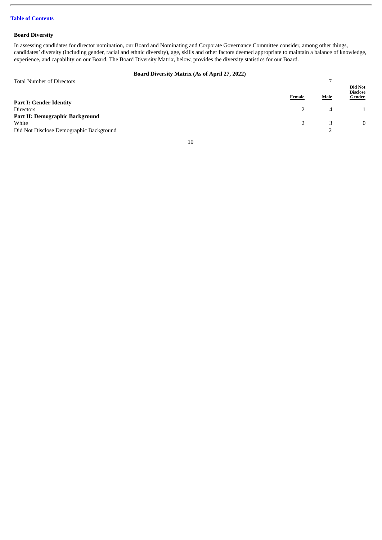## **Board Diversity**

In assessing candidates for director nomination, our Board and Nominating and Corporate Governance Committee consider, among other things, candidates' diversity (including gender, racial and ethnic diversity), age, skills and other factors deemed appropriate to maintain a balance of knowledge, experience, and capability on our Board. The Board Diversity Matrix, below, provides the diversity statistics for our Board.

## **Board Diversity Matrix (As of April 27, 2022)**

| <b>Total Number of Directors</b>        |        | -           |                                             |
|-----------------------------------------|--------|-------------|---------------------------------------------|
|                                         | Female | <b>Male</b> | Did Not<br><b>Disclose</b><br><b>Gender</b> |
| <b>Part I: Gender Identity</b>          |        |             |                                             |
| <b>Directors</b>                        |        |             |                                             |
| <b>Part II: Demographic Background</b>  |        |             |                                             |
| White                                   |        |             |                                             |
| Did Not Disclose Demographic Background |        |             |                                             |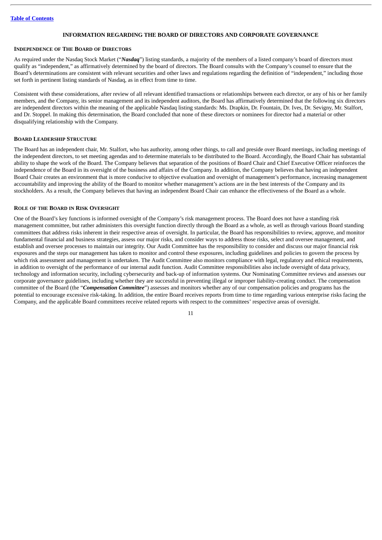## **INFORMATION REGARDING THE BOARD OF DIRECTORS AND CORPORATE GOVERNANCE**

## <span id="page-15-1"></span><span id="page-15-0"></span>**INDEPENDENCE OF THE BOARD OF DIRECTORS**

As required under the Nasdaq Stock Market ("*Nasdaq*") listing standards, a majority of the members of a listed company's board of directors must qualify as "independent," as affirmatively determined by the board of directors. The Board consults with the Company's counsel to ensure that the Board's determinations are consistent with relevant securities and other laws and regulations regarding the definition of "independent," including those set forth in pertinent listing standards of Nasdaq, as in effect from time to time.

Consistent with these considerations, after review of all relevant identified transactions or relationships between each director, or any of his or her family members, and the Company, its senior management and its independent auditors, the Board has affirmatively determined that the following six directors are independent directors within the meaning of the applicable Nasdaq listing standards: Ms. Drapkin, Dr. Fountain, Dr. Ives, Dr. Sevigny, Mr. Stalfort, and Dr. Stoppel. In making this determination, the Board concluded that none of these directors or nominees for director had a material or other disqualifying relationship with the Company.

## <span id="page-15-2"></span>**BOARD LEADERSHIP STRUCTURE**

The Board has an independent chair, Mr. Stalfort, who has authority, among other things, to call and preside over Board meetings, including meetings of the independent directors, to set meeting agendas and to determine materials to be distributed to the Board. Accordingly, the Board Chair has substantial ability to shape the work of the Board. The Company believes that separation of the positions of Board Chair and Chief Executive Officer reinforces the independence of the Board in its oversight of the business and affairs of the Company. In addition, the Company believes that having an independent Board Chair creates an environment that is more conducive to objective evaluation and oversight of management's performance, increasing management accountability and improving the ability of the Board to monitor whether management's actions are in the best interests of the Company and its stockholders. As a result, the Company believes that having an independent Board Chair can enhance the effectiveness of the Board as a whole.

#### <span id="page-15-3"></span>**ROLE OF THE BOARD IN RISK OVERSIGHT**

One of the Board's key functions is informed oversight of the Company's risk management process. The Board does not have a standing risk management committee, but rather administers this oversight function directly through the Board as a whole, as well as through various Board standing committees that address risks inherent in their respective areas of oversight. In particular, the Board has responsibilities to review, approve, and monitor fundamental financial and business strategies, assess our major risks, and consider ways to address those risks, select and oversee management, and establish and oversee processes to maintain our integrity. Our Audit Committee has the responsibility to consider and discuss our major financial risk exposures and the steps our management has taken to monitor and control these exposures, including guidelines and policies to govern the process by which risk assessment and management is undertaken. The Audit Committee also monitors compliance with legal, regulatory and ethical requirements, in addition to oversight of the performance of our internal audit function. Audit Committee responsibilities also include oversight of data privacy, technology and information security, including cybersecurity and back-up of information systems. Our Nominating Committee reviews and assesses our corporate governance guidelines, including whether they are successful in preventing illegal or improper liability-creating conduct. The compensation committee of the Board (the "*Compensation Committee*") assesses and monitors whether any of our compensation policies and programs has the potential to encourage excessive risk-taking. In addition, the entire Board receives reports from time to time regarding various enterprise risks facing the Company, and the applicable Board committees receive related reports with respect to the committees' respective areas of oversight.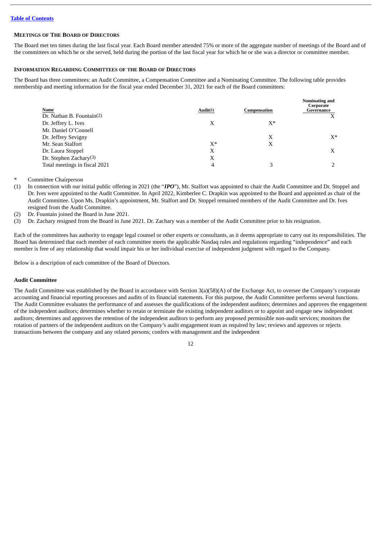## <span id="page-16-0"></span>**MEETINGS OF THE BOARD OF DIRECTORS**

The Board met ten times during the last fiscal year. Each Board member attended 75% or more of the aggregate number of meetings of the Board and of the committees on which he or she served, held during the portion of the last fiscal year for which he or she was a director or committee member.

## <span id="page-16-1"></span>**INFORMATION REGARDING COMMITTEES OF THE BOARD OF DIRECTORS**

The Board has three committees: an Audit Committee, a Compensation Committee and a Nominating Committee. The following table provides membership and meeting information for the fiscal year ended December 31, 2021 for each of the Board committees:

| Audit(1) | Compensation | Nominating and<br>Corporate<br>Governance |
|----------|--------------|-------------------------------------------|
| X        | X*           |                                           |
|          |              |                                           |
|          | X            | $X^*$                                     |
| $X^*$    | х            |                                           |
| X        |              | X                                         |
| Χ        |              |                                           |
| 4        |              |                                           |
|          |              |                                           |

Committee Chairperson

- (1) In connection with our initial public offering in 2021 (the "*IPO*"), Mr. Stalfort was appointed to chair the Audit Committee and Dr. Stoppel and Dr. Ives were appointed to the Audit Committee. In April 2022, Kimberlee C. Drapkin was appointed to the Board and appointed as chair of the Audit Committee. Upon Ms. Drapkin's appointment, Mr. Stalfort and Dr. Stoppel remained members of the Audit Committee and Dr. Ives resigned from the Audit Committee.
- (2) Dr. Fountain joined the Board in June 2021.
- (3) Dr. Zachary resigned from the Board in June 2021. Dr. Zachary was a member of the Audit Committee prior to his resignation.

Each of the committees has authority to engage legal counsel or other experts or consultants, as it deems appropriate to carry out its responsibilities. The Board has determined that each member of each committee meets the applicable Nasdaq rules and regulations regarding "independence" and each member is free of any relationship that would impair his or her individual exercise of independent judgment with regard to the Company.

Below is a description of each committee of the Board of Directors.

## <span id="page-16-2"></span>**Audit Committee**

The Audit Committee was established by the Board in accordance with Section 3(a)(58)(A) of the Exchange Act, to oversee the Company's corporate accounting and financial reporting processes and audits of its financial statements. For this purpose, the Audit Committee performs several functions. The Audit Committee evaluates the performance of and assesses the qualifications of the independent auditors; determines and approves the engagement of the independent auditors; determines whether to retain or terminate the existing independent auditors or to appoint and engage new independent auditors; determines and approves the retention of the independent auditors to perform any proposed permissible non-audit services; monitors the rotation of partners of the independent auditors on the Company's audit engagement team as required by law; reviews and approves or rejects transactions between the company and any related persons; confers with management and the independent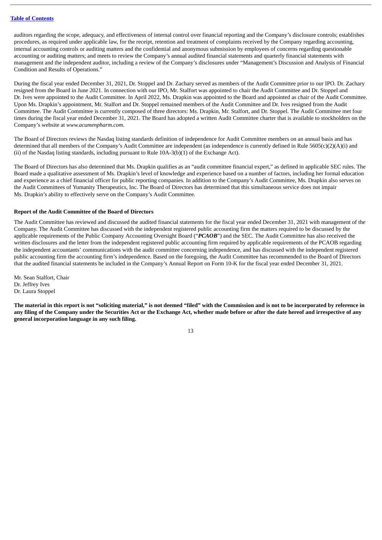auditors regarding the scope, adequacy, and effectiveness of internal control over financial reporting and the Company's disclosure controls; establishes procedures, as required under applicable law, for the receipt, retention and treatment of complaints received by the Company regarding accounting, internal accounting controls or auditing matters and the confidential and anonymous submission by employees of concerns regarding questionable accounting or auditing matters; and meets to review the Company's annual audited financial statements and quarterly financial statements with management and the independent auditor, including a review of the Company's disclosures under "Management's Discussion and Analysis of Financial Condition and Results of Operations."

During the fiscal year ended December 31, 2021, Dr. Stoppel and Dr. Zachary served as members of the Audit Committee prior to our IPO. Dr. Zachary resigned from the Board in June 2021. In connection with our IPO, Mr. Stalfort was appointed to chair the Audit Committee and Dr. Stoppel and Dr. Ives were appointed to the Audit Committee. In April 2022, Ms. Drapkin was appointed to the Board and appointed as chair of the Audit Committee. Upon Ms. Drapkin's appointment, Mr. Stalfort and Dr. Stoppel remained members of the Audit Committee and Dr. Ives resigned from the Audit Committee. The Audit Committee is currently composed of three directors: Ms. Drapkin, Mr. Stalfort, and Dr. Stoppel. The Audit Committee met four times during the fiscal year ended December 31, 2021. The Board has adopted a written Audit Committee charter that is available to stockholders on the Company's website at *www.acumenpharm.com*.

The Board of Directors reviews the Nasdaq listing standards definition of independence for Audit Committee members on an annual basis and has determined that all members of the Company's Audit Committee are independent (as independence is currently defined in Rule 5605(c)(2)(A)(i) and (ii) of the Nasdaq listing standards, including pursuant to Rule 10A-3(b)(1) of the Exchange Act).

The Board of Directors has also determined that Ms. Drapkin qualifies as an "audit committee financial expert," as defined in applicable SEC rules. The Board made a qualitative assessment of Ms. Drapkin's level of knowledge and experience based on a number of factors, including her formal education and experience as a chief financial officer for public reporting companies. In addition to the Company's Audit Committee, Ms. Drapkin also serves on the Audit Committees of Yumanity Therapeutics, Inc. The Board of Directors has determined that this simultaneous service does not impair Ms. Drapkin's ability to effectively serve on the Company's Audit Committee.

## **Report of the Audit Committee of the Board of Directors**

The Audit Committee has reviewed and discussed the audited financial statements for the fiscal year ended December 31, 2021 with management of the Company. The Audit Committee has discussed with the independent registered public accounting firm the matters required to be discussed by the applicable requirements of the Public Company Accounting Oversight Board ("*PCAOB*") and the SEC. The Audit Committee has also received the written disclosures and the letter from the independent registered public accounting firm required by applicable requirements of the PCAOB regarding the independent accountants' communications with the audit committee concerning independence, and has discussed with the independent registered public accounting firm the accounting firm's independence. Based on the foregoing, the Audit Committee has recommended to the Board of Directors that the audited financial statements be included in the Company's Annual Report on Form 10-K for the fiscal year ended December 31, 2021.

Mr. Sean Stalfort, Chair Dr. Jeffrey Ives Dr. Laura Stoppel

The material in this report is not "soliciting material," is not deemed "filed" with the Commission and is not to be incorporated by reference in any filing of the Company under the Securities Act or the Exchange Act, whether made before or after the date hereof and irrespective of any **general incorporation language in any such filing.**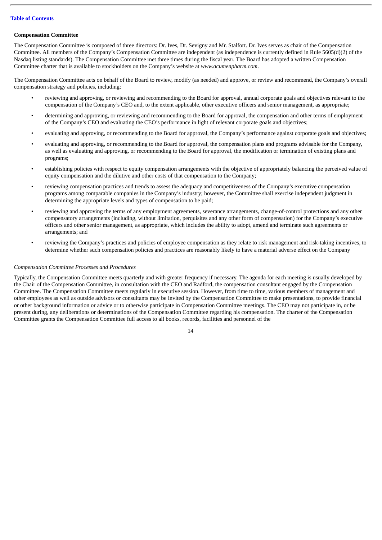## <span id="page-18-0"></span>**Compensation Committee**

The Compensation Committee is composed of three directors: Dr. Ives, Dr. Sevigny and Mr. Stalfort. Dr. Ives serves as chair of the Compensation Committee. All members of the Company's Compensation Committee are independent (as independence is currently defined in Rule 5605(d)(2) of the Nasdaq listing standards). The Compensation Committee met three times during the fiscal year. The Board has adopted a written Compensation Committee charter that is available to stockholders on the Company's website at *www.acumenpharm.com*.

The Compensation Committee acts on behalf of the Board to review, modify (as needed) and approve, or review and recommend, the Company's overall compensation strategy and policies, including:

- reviewing and approving, or reviewing and recommending to the Board for approval, annual corporate goals and objectives relevant to the compensation of the Company's CEO and, to the extent applicable, other executive officers and senior management, as appropriate;
- determining and approving, or reviewing and recommending to the Board for approval, the compensation and other terms of employment of the Company's CEO and evaluating the CEO's performance in light of relevant corporate goals and objectives;
- evaluating and approving, or recommending to the Board for approval, the Company's performance against corporate goals and objectives;
- evaluating and approving, or recommending to the Board for approval, the compensation plans and programs advisable for the Company, as well as evaluating and approving, or recommending to the Board for approval, the modification or termination of existing plans and programs;
- establishing policies with respect to equity compensation arrangements with the objective of appropriately balancing the perceived value of equity compensation and the dilutive and other costs of that compensation to the Company;
- reviewing compensation practices and trends to assess the adequacy and competitiveness of the Company's executive compensation programs among comparable companies in the Company's industry; however, the Committee shall exercise independent judgment in determining the appropriate levels and types of compensation to be paid;
- reviewing and approving the terms of any employment agreements, severance arrangements, change-of-control protections and any other compensatory arrangements (including, without limitation, perquisites and any other form of compensation) for the Company's executive officers and other senior management, as appropriate, which includes the ability to adopt, amend and terminate such agreements or arrangements; and
- reviewing the Company's practices and policies of employee compensation as they relate to risk management and risk-taking incentives, to determine whether such compensation policies and practices are reasonably likely to have a material adverse effect on the Company

## *Compensation Committee Processes and Procedures*

Typically, the Compensation Committee meets quarterly and with greater frequency if necessary. The agenda for each meeting is usually developed by the Chair of the Compensation Committee, in consultation with the CEO and Radford, the compensation consultant engaged by the Compensation Committee. The Compensation Committee meets regularly in executive session. However, from time to time, various members of management and other employees as well as outside advisors or consultants may be invited by the Compensation Committee to make presentations, to provide financial or other background information or advice or to otherwise participate in Compensation Committee meetings. The CEO may not participate in, or be present during, any deliberations or determinations of the Compensation Committee regarding his compensation. The charter of the Compensation Committee grants the Compensation Committee full access to all books, records, facilities and personnel of the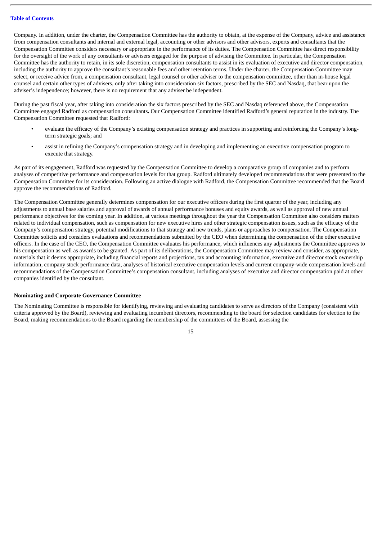Company. In addition, under the charter, the Compensation Committee has the authority to obtain, at the expense of the Company, advice and assistance from compensation consultants and internal and external legal, accounting or other advisors and other advisors, experts and consultants that the Compensation Committee considers necessary or appropriate in the performance of its duties. The Compensation Committee has direct responsibility for the oversight of the work of any consultants or advisers engaged for the purpose of advising the Committee. In particular, the Compensation Committee has the authority to retain, in its sole discretion, compensation consultants to assist in its evaluation of executive and director compensation, including the authority to approve the consultant's reasonable fees and other retention terms. Under the charter, the Compensation Committee may select, or receive advice from, a compensation consultant, legal counsel or other adviser to the compensation committee, other than in-house legal counsel and certain other types of advisers, only after taking into consideration six factors, prescribed by the SEC and Nasdaq, that bear upon the adviser's independence; however, there is no requirement that any adviser be independent.

During the past fiscal year, after taking into consideration the six factors prescribed by the SEC and Nasdaq referenced above, the Compensation Committee engaged Radford as compensation consultants**.** Our Compensation Committee identified Radford's general reputation in the industry. The Compensation Committee requested that Radford:

- evaluate the efficacy of the Company's existing compensation strategy and practices in supporting and reinforcing the Company's longterm strategic goals; and
- assist in refining the Company's compensation strategy and in developing and implementing an executive compensation program to execute that strategy.

As part of its engagement, Radford was requested by the Compensation Committee to develop a comparative group of companies and to perform analyses of competitive performance and compensation levels for that group. Radford ultimately developed recommendations that were presented to the Compensation Committee for its consideration. Following an active dialogue with Radford, the Compensation Committee recommended that the Board approve the recommendations of Radford.

The Compensation Committee generally determines compensation for our executive officers during the first quarter of the year, including any adjustments to annual base salaries and approval of awards of annual performance bonuses and equity awards, as well as approval of new annual performance objectives for the coming year. In addition, at various meetings throughout the year the Compensation Committee also considers matters related to individual compensation, such as compensation for new executive hires and other strategic compensation issues, such as the efficacy of the Company's compensation strategy, potential modifications to that strategy and new trends, plans or approaches to compensation. The Compensation Committee solicits and considers evaluations and recommendations submitted by the CEO when determining the compensation of the other executive officers. In the case of the CEO, the Compensation Committee evaluates his performance, which influences any adjustments the Committee approves to his compensation as well as awards to be granted. As part of its deliberations, the Compensation Committee may review and consider, as appropriate, materials that it deems appropriate, including financial reports and projections, tax and accounting information, executive and director stock ownership information, company stock performance data, analyses of historical executive compensation levels and current company-wide compensation levels and recommendations of the Compensation Committee's compensation consultant, including analyses of executive and director compensation paid at other companies identified by the consultant.

## <span id="page-19-0"></span>**Nominating and Corporate Governance Committee**

The Nominating Committee is responsible for identifying, reviewing and evaluating candidates to serve as directors of the Company (consistent with criteria approved by the Board), reviewing and evaluating incumbent directors, recommending to the board for selection candidates for election to the Board, making recommendations to the Board regarding the membership of the committees of the Board, assessing the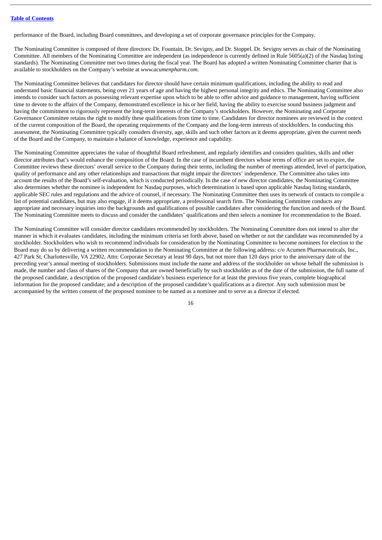performance of the Board, including Board committees, and developing a set of corporate governance principles for the Company.

The Nominating Committee is composed of three directors: Dr. Fountain, Dr. Sevigny, and Dr. Stoppel. Dr. Sevigny serves as chair of the Nominating Committee. All members of the Nominating Committee are independent (as independence is currently defined in Rule 5605(a)(2) of the Nasdaq listing standards). The Nominating Committee met two times during the fiscal year. The Board has adopted a written Nominating Committee charter that is available to stockholders on the Company's website at *www.acumenpharm.com*.

The Nominating Committee believes that candidates for director should have certain minimum qualifications, including the ability to read and understand basic financial statements, being over 21 years of age and having the highest personal integrity and ethics. The Nominating Committee also intends to consider such factors as possessing relevant expertise upon which to be able to offer advice and guidance to management, having sufficient time to devote to the affairs of the Company, demonstrated excellence in his or her field, having the ability to exercise sound business judgment and having the commitment to rigorously represent the long-term interests of the Company's stockholders. However, the Nominating and Corporate Governance Committee retains the right to modify these qualifications from time to time. Candidates for director nominees are reviewed in the context of the current composition of the Board, the operating requirements of the Company and the long-term interests of stockholders. In conducting this assessment, the Nominating Committee typically considers diversity, age, skills and such other factors as it deems appropriate, given the current needs of the Board and the Company, to maintain a balance of knowledge, experience and capability.

The Nominating Committee appreciates the value of thoughtful Board refreshment, and regularly identifies and considers qualities, skills and other director attributes that's would enhance the composition of the Board. In the case of incumbent directors whose terms of office are set to expire, the Committee reviews these directors' overall service to the Company during their terms, including the number of meetings attended, level of participation, quality of performance and any other relationships and transactions that might impair the directors' independence. The Committee also takes into account the results of the Board's self-evaluation, which is conducted periodically. In the case of new director candidates, the Nominating Committee also determines whether the nominee is independent for Nasdaq purposes, which determination is based upon applicable Nasdaq listing standards, applicable SEC rules and regulations and the advice of counsel, if necessary. The Nominating Committee then uses its network of contacts to compile a list of potential candidates, but may also engage, if it deems appropriate, a professional search firm. The Nominating Committee conducts any appropriate and necessary inquiries into the backgrounds and qualifications of possible candidates after considering the function and needs of the Board. The Nominating Committee meets to discuss and consider the candidates' qualifications and then selects a nominee for recommendation to the Board.

The Nominating Committee will consider director candidates recommended by stockholders. The Nominating Committee does not intend to alter the manner in which it evaluates candidates, including the minimum criteria set forth above, based on whether or not the candidate was recommended by a stockholder. Stockholders who wish to recommend individuals for consideration by the Nominating Committee to become nominees for election to the Board may do so by delivering a written recommendation to the Nominating Committee at the following address: c/o Acumen Pharmaceuticals, Inc., 427 Park St, Charlottesville, VA 22902, Attn: Corporate Secretary at least 90 days, but not more than 120 days prior to the anniversary date of the preceding year's annual meeting of stockholders. Submissions must include the name and address of the stockholder on whose behalf the submission is made, the number and class of shares of the Company that are owned beneficially by such stockholder as of the date of the submission, the full name of the proposed candidate, a description of the proposed candidate's business experience for at least the previous five years, complete biographical information for the proposed candidate; and a description of the proposed candidate's qualifications as a director. Any such submission must be accompanied by the written consent of the proposed nominee to be named as a nominee and to serve as a director if elected.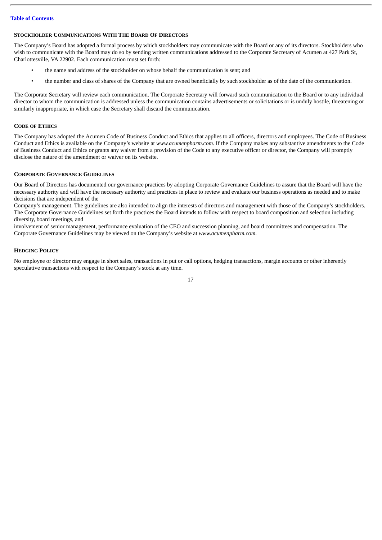## <span id="page-21-0"></span>**STOCKHOLDER COMMUNICATIONS WITH THE BOARD OF DIRECTORS**

The Company's Board has adopted a formal process by which stockholders may communicate with the Board or any of its directors. Stockholders who wish to communicate with the Board may do so by sending written communications addressed to the Corporate Secretary of Acumen at 427 Park St, Charlottesville, VA 22902. Each communication must set forth:

- the name and address of the stockholder on whose behalf the communication is sent; and
- the number and class of shares of the Company that are owned beneficially by such stockholder as of the date of the communication.

The Corporate Secretary will review each communication. The Corporate Secretary will forward such communication to the Board or to any individual director to whom the communication is addressed unless the communication contains advertisements or solicitations or is unduly hostile, threatening or similarly inappropriate, in which case the Secretary shall discard the communication.

## <span id="page-21-1"></span>**CODE OF ETHICS**

The Company has adopted the Acumen Code of Business Conduct and Ethics that applies to all officers, directors and employees. The Code of Business Conduct and Ethics is available on the Company's website at *www.acumenpharm.com*. If the Company makes any substantive amendments to the Code of Business Conduct and Ethics or grants any waiver from a provision of the Code to any executive officer or director, the Company will promptly disclose the nature of the amendment or waiver on its website.

#### <span id="page-21-2"></span>**CORPORATE GOVERNANCE GUIDELINES**

Our Board of Directors has documented our governance practices by adopting Corporate Governance Guidelines to assure that the Board will have the necessary authority and will have the necessary authority and practices in place to review and evaluate our business operations as needed and to make decisions that are independent of the

Company's management. The guidelines are also intended to align the interests of directors and management with those of the Company's stockholders. The Corporate Governance Guidelines set forth the practices the Board intends to follow with respect to board composition and selection including diversity, board meetings, and

involvement of senior management, performance evaluation of the CEO and succession planning, and board committees and compensation. The Corporate Governance Guidelines may be viewed on the Company's website at *www.acumenpharm.com*.

## <span id="page-21-3"></span>**HEDGING POLICY**

No employee or director may engage in short sales, transactions in put or call options, hedging transactions, margin accounts or other inherently speculative transactions with respect to the Company's stock at any time.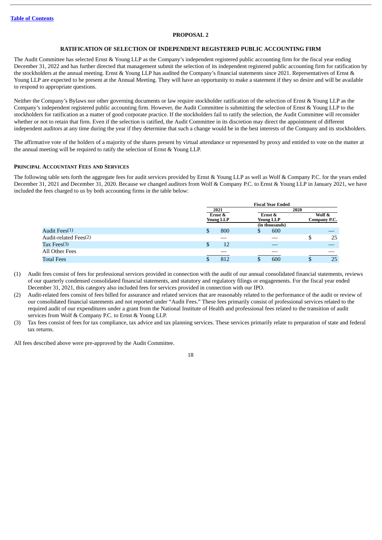## **PROPOSAL 2**

## **RATIFICATION OF SELECTION OF INDEPENDENT REGISTERED PUBLIC ACCOUNTING FIRM**

<span id="page-22-0"></span>The Audit Committee has selected Ernst & Young LLP as the Company's independent registered public accounting firm for the fiscal year ending December 31, 2022 and has further directed that management submit the selection of its independent registered public accounting firm for ratification by the stockholders at the annual meeting. Ernst & Young LLP has audited the Company's financial statements since 2021. Representatives of Ernst & Young LLP are expected to be present at the Annual Meeting. They will have an opportunity to make a statement if they so desire and will be available to respond to appropriate questions.

Neither the Company's Bylaws nor other governing documents or law require stockholder ratification of the selection of Ernst & Young LLP as the Company's independent registered public accounting firm. However, the Audit Committee is submitting the selection of Ernst & Young LLP to the stockholders for ratification as a matter of good corporate practice. If the stockholders fail to ratify the selection, the Audit Committee will reconsider whether or not to retain that firm. Even if the selection is ratified, the Audit Committee in its discretion may direct the appointment of different independent auditors at any time during the year if they determine that such a change would be in the best interests of the Company and its stockholders.

The affirmative vote of the holders of a majority of the shares present by virtual attendance or represented by proxy and entitled to vote on the matter at the annual meeting will be required to ratify the selection of Ernst & Young LLP.

#### **PRINCIPAL ACCOUNTANT FEES AND SERVICES**

The following table sets forth the aggregate fees for audit services provided by Ernst & Young LLP as well as Wolf & Company P.C. for the years ended December 31, 2021 and December 31, 2020. Because we changed auditors from Wolf & Company P.C. to Ernst & Young LLP in January 2021, we have included the fees charged to us by both accounting firms in the table below:

|                           |    |                  |   | <b>Fiscal Year Ended</b> |      |              |
|---------------------------|----|------------------|---|--------------------------|------|--------------|
|                           |    | 2021             |   |                          | 2020 |              |
|                           |    | Ernst &          |   | Ernst &                  |      | Wolf &       |
|                           |    | <b>Young LLP</b> |   | <b>Young LLP</b>         |      | Company P.C. |
|                           |    |                  |   | (in thousands)           |      |              |
| Audit Fees <sup>(1)</sup> | \$ | 800              | Φ | 600                      |      |              |
| Audit-related Fees(2)     |    |                  |   |                          | S    | 25           |
| Tax Fees $(3)$            | \$ | 12               |   |                          |      |              |
| All Other Fees            |    |                  |   |                          |      |              |
| <b>Total Fees</b>         | ω  | 812              | Φ | 600                      |      | 25           |

- (1) Audit fees consist of fees for professional services provided in connection with the audit of our annual consolidated financial statements, reviews of our quarterly condensed consolidated financial statements, and statutory and regulatory filings or engagements. For the fiscal year ended December 31, 2021, this category also included fees for services provided in connection with our IPO.
- (2) Audit-related fees consist of fees billed for assurance and related services that are reasonably related to the performance of the audit or review of our consolidated financial statements and not reported under "Audit Fees." These fees primarily consist of professional services related to the required audit of our expenditures under a grant from the National Institute of Health and professional fees related to the transition of audit services from Wolf & Company P.C. to Ernst & Young LLP.
- (3) Tax fees consist of fees for tax compliance, tax advice and tax planning services. These services primarily relate to preparation of state and federal tax returns.

All fees described above were pre-approved by the Audit Committee.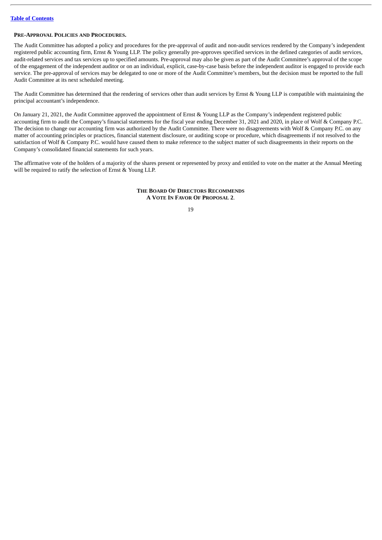## **PRE-APPROVAL POLICIES AND PROCEDURES.**

The Audit Committee has adopted a policy and procedures for the pre-approval of audit and non-audit services rendered by the Company's independent registered public accounting firm, Ernst & Young LLP. The policy generally pre-approves specified services in the defined categories of audit services, audit-related services and tax services up to specified amounts. Pre-approval may also be given as part of the Audit Committee's approval of the scope of the engagement of the independent auditor or on an individual, explicit, case-by-case basis before the independent auditor is engaged to provide each service. The pre-approval of services may be delegated to one or more of the Audit Committee's members, but the decision must be reported to the full Audit Committee at its next scheduled meeting.

The Audit Committee has determined that the rendering of services other than audit services by Ernst & Young LLP is compatible with maintaining the principal accountant's independence.

On January 21, 2021, the Audit Committee approved the appointment of Ernst & Young LLP as the Company's independent registered public accounting firm to audit the Company's financial statements for the fiscal year ending December 31, 2021 and 2020, in place of Wolf & Company P.C. The decision to change our accounting firm was authorized by the Audit Committee. There were no disagreements with Wolf & Company P.C. on any matter of accounting principles or practices, financial statement disclosure, or auditing scope or procedure, which disagreements if not resolved to the satisfaction of Wolf & Company P.C. would have caused them to make reference to the subject matter of such disagreements in their reports on the Company's consolidated financial statements for such years.

The affirmative vote of the holders of a majority of the shares present or represented by proxy and entitled to vote on the matter at the Annual Meeting will be required to ratify the selection of Ernst & Young LLP.

> **THE BOARD OF DIRECTORS RECOMMENDS A VOTE IN FAVOR OF PROPOSAL 2**.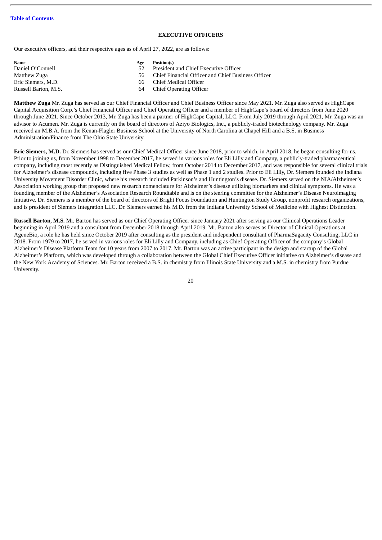#### **EXECUTIVE OFFICERS**

<span id="page-24-0"></span>Our executive officers, and their respective ages as of April 27, 2022, are as follows:

| Name                 | Age | Position(s)                                        |
|----------------------|-----|----------------------------------------------------|
| Daniel O'Connell     |     | President and Chief Executive Officer              |
| Matthew Zuga         | 56. | Chief Financial Officer and Chief Business Officer |
| Eric Siemers, M.D.   | 66  | Chief Medical Officer                              |
| Russell Barton, M.S. | 64  | <b>Chief Operating Officer</b>                     |

**Matthew Zuga** Mr. Zuga has served as our Chief Financial Officer and Chief Business Officer since May 2021. Mr. Zuga also served as HighCape Capital Acquisition Corp.'s Chief Financial Officer and Chief Operating Officer and a member of HighCape's board of directors from June 2020 through June 2021. Since October 2013, Mr. Zuga has been a partner of HighCape Capital, LLC. From July 2019 through April 2021, Mr. Zuga was an advisor to Acumen. Mr. Zuga is currently on the board of directors of Aziyo Biologics, Inc., a publicly-traded biotechnology company. Mr. Zuga received an M.B.A. from the Kenan-Flagler Business School at the University of North Carolina at Chapel Hill and a B.S. in Business Administration/Finance from The Ohio State University.

**Eric Siemers, M.D.** Dr. Siemers has served as our Chief Medical Officer since June 2018, prior to which, in April 2018, he began consulting for us. Prior to joining us, from November 1998 to December 2017, he served in various roles for Eli Lilly and Company, a publicly-traded pharmaceutical company, including most recently as Distinguished Medical Fellow, from October 2014 to December 2017, and was responsible for several clinical trials for Alzheimer's disease compounds, including five Phase 3 studies as well as Phase 1 and 2 studies. Prior to Eli Lilly, Dr. Siemers founded the Indiana University Movement Disorder Clinic, where his research included Parkinson's and Huntington's disease. Dr. Siemers served on the NIA/Alzheimer's Association working group that proposed new research nomenclature for Alzheimer's disease utilizing biomarkers and clinical symptoms. He was a founding member of the Alzheimer's Association Research Roundtable and is on the steering committee for the Alzheimer's Disease Neuroimaging Initiative. Dr. Siemers is a member of the board of directors of Bright Focus Foundation and Huntington Study Group, nonprofit research organizations, and is president of Siemers Integration LLC. Dr. Siemers earned his M.D. from the Indiana University School of Medicine with Highest Distinction.

**Russell Barton, M.S.** Mr. Barton has served as our Chief Operating Officer since January 2021 after serving as our Clinical Operations Leader beginning in April 2019 and a consultant from December 2018 through April 2019. Mr. Barton also serves as Director of Clinical Operations at AgeneBio, a role he has held since October 2019 after consulting as the president and independent consultant of PharmaSagacity Consulting, LLC in 2018. From 1979 to 2017, he served in various roles for Eli Lilly and Company, including as Chief Operating Officer of the company's Global Alzheimer's Disease Platform Team for 10 years from 2007 to 2017. Mr. Barton was an active participant in the design and startup of the Global Alzheimer's Platform, which was developed through a collaboration between the Global Chief Executive Officer initiative on Alzheimer's disease and the New York Academy of Sciences. Mr. Barton received a B.S. in chemistry from Illinois State University and a M.S. in chemistry from Purdue University.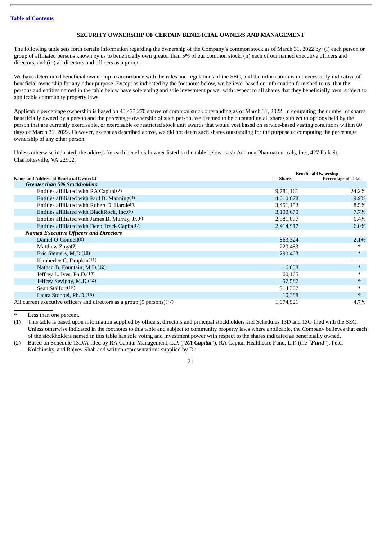## **SECURITY OWNERSHIP OF CERTAIN BENEFICIAL OWNERS AND MANAGEMENT**

<span id="page-25-0"></span>The following table sets forth certain information regarding the ownership of the Company's common stock as of March 31, 2022 by: (i) each person or group of affiliated persons known by us to beneficially own greater than 5% of our common stock, (ii) each of our named executive officers and directors, and (iii) all directors and officers as a group.

We have determined beneficial ownership in accordance with the rules and regulations of the SEC, and the information is not necessarily indicative of beneficial ownership for any other purpose. Except as indicated by the footnotes below, we believe, based on information furnished to us, that the persons and entities named in the table below have sole voting and sole investment power with respect to all shares that they beneficially own, subject to applicable community property laws.

Applicable percentage ownership is based on 40,473,270 shares of common stock outstanding as of March 31, 2022. In computing the number of shares beneficially owned by a person and the percentage ownership of such person, we deemed to be outstanding all shares subject to options held by the person that are currently exercisable, or exercisable or restricted stock unit awards that would vest based on service-based vesting conditions within 60 days of March 31, 2022. However, except as described above, we did not deem such shares outstanding for the purpose of computing the percentage ownership of any other person.

Unless otherwise indicated, the address for each beneficial owner listed in the table below is c/o Acumen Pharmaceuticals, Inc., 427 Park St, Charlottesville, VA 22902.

|                                                                         |               | <b>Beneficial Ownership</b> |
|-------------------------------------------------------------------------|---------------|-----------------------------|
| Name and Address of Beneficial Owner(1)                                 | <b>Shares</b> | <b>Percentage of Total</b>  |
| <b>Greater than 5% Stockholders</b>                                     |               |                             |
| Entities affiliated with RA Capital(2)                                  | 9,781,161     | 24.2%                       |
| Entities affiliated with Paul B. Manning(3)                             | 4,010,678     | 9.9%                        |
| Entities affiliated with Robert D. Hardie(4)                            | 3,451,152     | 8.5%                        |
| Entities affiliated with BlackRock, Inc. (5)                            | 3,109,670     | $7.7\%$                     |
| Entities affiliated with James B. Murray, Jr. (6)                       | 2,581,057     | 6.4%                        |
| Entities affiliated with Deep Track Capital(7)                          | 2,414,917     | $6.0\%$                     |
| <b>Named Executive Officers and Directors</b>                           |               |                             |
| Daniel O'Connell(8)                                                     | 863,324       | 2.1%                        |
| Matthew $Zuga(9)$                                                       | 220,483       | ∗                           |
| Eric Siemers, M.D. <sup>(10)</sup>                                      | 290,463       | $\ast$                      |
| Kimberlee C. Drapkin(11)                                                |               |                             |
| Nathan B. Fountain, M.D. <sup>(12)</sup>                                | 16,638        | $\ast$                      |
| Jeffrey L. Ives, Ph.D.(13)                                              | 60,165        | ∗                           |
| Jeffrey Sevigny, M.D.(14)                                               | 57,587        | $\ast$                      |
| Sean Stalfort(15)                                                       | 314,307       | $\ast$                      |
| Laura Stoppel, Ph.D.(16)                                                | 10,388        | $\ast$                      |
| All current executive officers and directors as a group (9 persons)(17) | 1,974,921     | 4.7%                        |

Less than one percent.

(1) This table is based upon information supplied by officers, directors and principal stockholders and Schedules 13D and 13G filed with the SEC. Unless otherwise indicated in the footnotes to this table and subject to community property laws where applicable, the Company believes that each of the stockholders named in this table has sole voting and investment power with respect to the shares indicated as beneficially owned.

(2) Based on Schedule 13D/A filed by RA Capital Management, L.P. ("*RA Capital*"), RA Capital Healthcare Fund, L.P. (the "*Fund*"), Peter Kolchinsky, and Rajeev Shah and written representations supplied by Dr.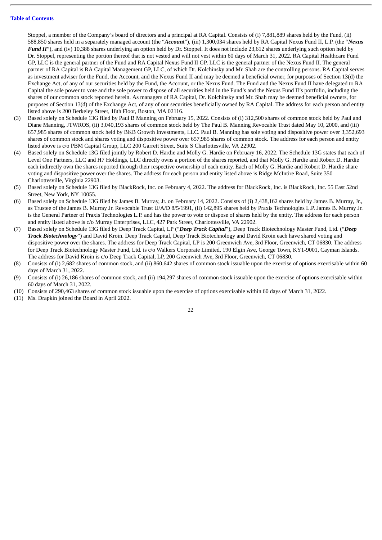Stoppel, a member of the Company's board of directors and a principal at RA Capital. Consists of (i) 7,881,889 shares held by the Fund, (ii) 588,850 shares held in a separately managed account (the "*Accoun*t"), (iii) 1,300,034 shares held by RA Capital Nexus Fund II, L.P. (the "*Nexus Fund II"*), and (iv) 10,388 shares underlying an option held by Dr. Stoppel. It does not include 23,612 shares underlying such option held by Dr. Stoppel, representing the portion thereof that is not vested and will not vest within 60 days of March 31, 2022. RA Capital Healthcare Fund GP, LLC is the general partner of the Fund and RA Capital Nexus Fund II GP, LLC is the general partner of the Nexus Fund II. The general partner of RA Capital is RA Capital Management GP, LLC, of which Dr. Kolchinsky and Mr. Shah are the controlling persons. RA Capital serves as investment adviser for the Fund, the Account, and the Nexus Fund II and may be deemed a beneficial owner, for purposes of Section 13(d) the Exchange Act, of any of our securities held by the Fund, the Account, or the Nexus Fund. The Fund and the Nexus Fund II have delegated to RA Capital the sole power to vote and the sole power to dispose of all securities held in the Fund's and the Nexus Fund II's portfolio, including the shares of our common stock reported herein. As managers of RA Capital, Dr. Kolchinsky and Mr. Shah may be deemed beneficial owners, for purposes of Section 13(d) of the Exchange Act, of any of our securities beneficially owned by RA Capital. The address for each person and entity listed above is 200 Berkeley Street, 18th Floor, Boston, MA 02116.

- (3) Based solely on Schedule 13G filed by Paul B Manning on February 15, 2022. Consists of (i) 312,500 shares of common stock held by Paul and Diane Manning, JTWROS, (ii) 3,040,193 shares of common stock held by The Paul B. Manning Revocable Trust dated May 10, 2000, and (iii) 657,985 shares of common stock held by BKB Growth Investments, LLC. Paul B. Manning has sole voting and dispositive power over 3,352,693 shares of common stock and shares voting and dispositive power over 657,985 shares of common stock. The address for each person and entity listed above is c/o PBM Capital Group, LLC 200 Garrett Street, Suite S Charlottesville, VA 22902.
- (4) Based solely on Schedule 13G filed jointly by Robert D. Hardie and Molly G. Hardie on February 16, 2022. The Schedule 13G states that each of Level One Partners, LLC and H7 Holdings, LLC directly owns a portion of the shares reported, and that Molly G. Hardie and Robert D. Hardie each indirectly own the shares reported through their respective ownership of each entity. Each of Molly G. Hardie and Robert D. Hardie share voting and dispositive power over the shares. The address for each person and entity listed above is Ridge McIntire Road, Suite 350 Charlottesville, Virginia 22903.
- (5) Based solely on Schedule 13G filed by BlackRock, Inc. on February 4, 2022. The address for BlackRock, Inc. is BlackRock, Inc. 55 East 52nd Street, New York, NY 10055.
- (6) Based solely on Schedule 13G filed by James B. Murray, Jr. on February 14, 2022. Consists of (i) 2,438,162 shares held by James B. Murray, Jr., as Trustee of the James B. Murray Jr. Revocable Trust U/A/D 8/5/1991, (ii) 142,895 shares held by Praxis Technologies L.P. James B. Murray Jr. is the General Partner of Praxis Technologies L.P. and has the power to vote or dispose of shares held by the entity. The address for each person and entity listed above is c/o Murray Enterprises, LLC, 427 Park Street, Charlottesville, VA 22902.
- (7) Based solely on Schedule 13G filed by Deep Track Capital, LP ("*Deep Track Capital*"), Deep Track Biotechnology Master Fund, Ltd. ("*Deep Track Biotechnology*") and David Kroin. Deep Track Capital, Deep Track Biotechnology and David Kroin each have shared voting and dispositive power over the shares. The address for Deep Track Capital, LP is 200 Greenwich Ave, 3rd Floor, Greenwich, CT 06830. The address for Deep Track Biotechnology Master Fund, Ltd. is c/o Walkers Corporate Limited, 190 Elgin Ave, George Town, KY1-9001, Cayman Islands. The address for David Kroin is c/o Deep Track Capital, LP, 200 Greenwich Ave, 3rd Floor, Greenwich, CT 06830.
- (8) Consists of (i) 2,682 shares of common stock, and (ii) 860,642 shares of common stock issuable upon the exercise of options exercisable within 60 days of March 31, 2022.
- (9) Consists of (i) 26,186 shares of common stock, and (ii) 194,297 shares of common stock issuable upon the exercise of options exercisable within 60 days of March 31, 2022.
- (10) Consists of 290,463 shares of common stock issuable upon the exercise of options exercisable within 60 days of March 31, 2022.
- (11) Ms. Drapkin joined the Board in April 2022.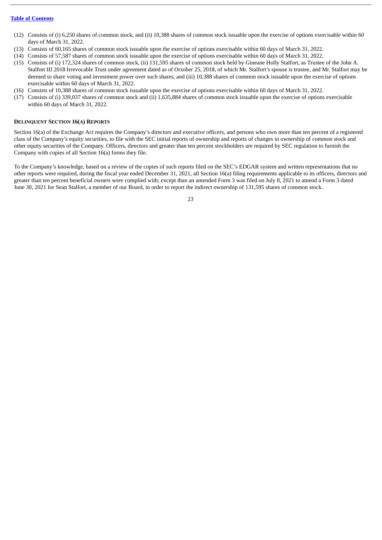- (12) Consists of (i) 6,250 shares of common stock, and (ii) 10,388 shares of common stock issuable upon the exercise of options exercisable within 60 days of March 31, 2022.
- (13) Consists of 60,165 shares of common stock issuable upon the exercise of options exercisable within 60 days of March 31, 2022.
- (14) Consists of 57,587 shares of common stock issuable upon the exercise of options exercisable within 60 days of March 31, 2022.
- (15) Consists of (i) 172,324 shares of common stock, (ii) 131,595 shares of common stock held by Gineane Holly Stalfort, as Trustee of the John A. Stalfort III 2018 Irrevocable Trust under agreement dated as of October 25, 2018, of which Mr. Stalfort's spouse is trustee, and Mr. Stalfort may be deemed to share voting and investment power over such shares, and (iii) 10,388 shares of common stock issuable upon the exercise of options exercisable within 60 days of March 31, 2022.
- (16) Consists of 10,388 shares of common stock issuable upon the exercise of options exercisable within 60 days of March 31, 2022.
- (17) Consists of (i) 339,037 shares of common stock and (ii) 1,635,884 shares of common stock issuable upon the exercise of options exercisable within 60 days of March 31, 2022.

#### <span id="page-27-0"></span>**DELINQUENT SECTION 16(A) REPORTS**

Section 16(a) of the Exchange Act requires the Company's directors and executive officers, and persons who own more than ten percent of a registered class of the Company's equity securities, to file with the SEC initial reports of ownership and reports of changes in ownership of common stock and other equity securities of the Company. Officers, directors and greater than ten percent stockholders are required by SEC regulation to furnish the Company with copies of all Section 16(a) forms they file.

To the Company's knowledge, based on a review of the copies of such reports filed on the SEC's EDGAR system and written representations that no other reports were required, during the fiscal year ended December 31, 2021, all Section 16(a) filing requirements applicable to its officers, directors and greater than ten percent beneficial owners were complied with; except than an amended Form 3 was filed on July 8, 2021 to amend a Form 3 dated June 30, 2021 for Sean Stalfort, a member of our Board, in order to report the indirect ownership of 131,595 shares of common stock.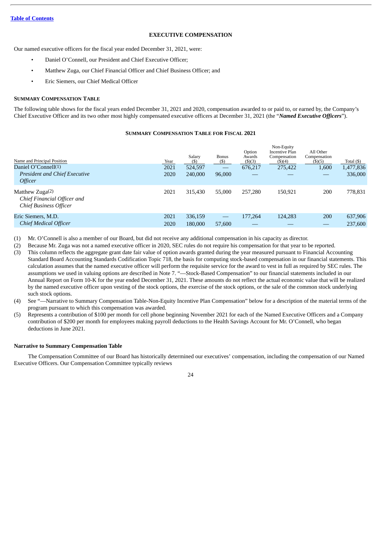## **EXECUTIVE COMPENSATION**

<span id="page-28-0"></span>Our named executive officers for the fiscal year ended December 31, 2021, were:

- Daniel O'Connell, our President and Chief Executive Officer;
- Matthew Zuga, our Chief Financial Officer and Chief Business Officer; and
- Eric Siemers, our Chief Medical Officer

## <span id="page-28-1"></span>**SUMMARY COMPENSATION TABLE**

The following table shows for the fiscal years ended December 31, 2021 and 2020, compensation awarded to or paid to, or earned by, the Company's Chief Executive Officer and its two other most highly compensated executive officers at December 31, 2021 (the "*Named Executive Officers*").

## **SUMMARY COMPENSATION TABLE FOR FISCAL 2021**

| Name and Principal Position<br>Daniel O'Connell $(1)$<br><b>President and Chief Executive</b><br>Officer | Year<br>2021<br>2020 | Salary<br>(S)<br>524,597<br>240,000 | Bonus<br>$($)$<br>96,000                | Option<br>Awards<br>$($ \$ $)(3)$<br>676,217 | Non-Equity<br>Incentive Plan<br>Compensation<br>$($ \$ $)(4)$<br>275,422 | All Other<br>Compensation<br>$($ \$ $)($ 5 $)$<br>1,600<br>$-$ | Total $($ )<br>1,477,836<br>336,000 |
|----------------------------------------------------------------------------------------------------------|----------------------|-------------------------------------|-----------------------------------------|----------------------------------------------|--------------------------------------------------------------------------|----------------------------------------------------------------|-------------------------------------|
| Matthew $Zuga(2)$<br>Chief Financial Officer and<br><b>Chief Business Officer</b>                        | 2021                 | 315,430                             | 55,000                                  | 257,280                                      | 150.921                                                                  | 200                                                            | 778,831                             |
| Eric Siemers, M.D.<br><b>Chief Medical Officer</b>                                                       | 2021<br>2020         | 336,159<br>180,000                  | $\overbrace{\phantom{aaaaa}}$<br>57,600 | 177,264                                      | 124,283                                                                  | 200<br>–                                                       | 637,906<br>237,600                  |

(1) Mr. O'Connell is also a member of our Board, but did not receive any additional compensation in his capacity as director.

(2) Because Mr. Zuga was not a named executive officer in 2020, SEC rules do not require his compensation for that year to be reported.

- (3) This column reflects the aggregate grant date fair value of option awards granted during the year measured pursuant to Financial Accounting Standard Board Accounting Standards Codification Topic 718, the basis for computing stock-based compensation in our financial statements. This calculation assumes that the named executive officer will perform the requisite service for the award to vest in full as required by SEC rules. The assumptions we used in valuing options are described in Note 7. "—Stock-Based Compensation" to our financial statements included in our Annual Report on Form 10-K for the year ended December 31, 2021. These amounts do not reflect the actual economic value that will be realized by the named executive officer upon vesting of the stock options, the exercise of the stock options, or the sale of the common stock underlying such stock options.
- (4) See "—Narrative to Summary Compensation Table-Non-Equity Incentive Plan Compensation" below for a description of the material terms of the program pursuant to which this compensation was awarded.
- (5) Represents a contribution of \$100 per month for cell phone beginning November 2021 for each of the Named Executive Officers and a Company contribution of \$200 per month for employees making payroll deductions to the Health Savings Account for Mr. O'Connell, who began deductions in June 2021

## **Narrative to Summary Compensation Table**

The Compensation Committee of our Board has historically determined our executives' compensation, including the compensation of our Named Executive Officers. Our Compensation Committee typically reviews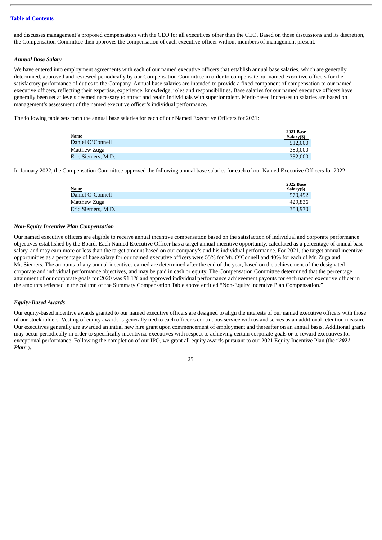and discusses management's proposed compensation with the CEO for all executives other than the CEO. Based on those discussions and its discretion, the Compensation Committee then approves the compensation of each executive officer without members of management present.

## *Annual Base Salary*

We have entered into employment agreements with each of our named executive officers that establish annual base salaries, which are generally determined, approved and reviewed periodically by our Compensation Committee in order to compensate our named executive officers for the satisfactory performance of duties to the Company. Annual base salaries are intended to provide a fixed component of compensation to our named executive officers, reflecting their expertise, experience, knowledge, roles and responsibilities. Base salaries for our named executive officers have generally been set at levels deemed necessary to attract and retain individuals with superior talent. Merit-based increases to salaries are based on management's assessment of the named executive officer's individual performance.

The following table sets forth the annual base salaries for each of our Named Executive Officers for 2021:

| <b>Name</b>        | <b>2021 Base</b><br>Salary(\$) |
|--------------------|--------------------------------|
| Daniel O'Connell   | 512,000                        |
| Matthew Zuga       | 380,000                        |
| Eric Siemers, M.D. | 332,000                        |

In January 2022, the Compensation Committee approved the following annual base salaries for each of our Named Executive Officers for 2022:

|                    | <b>2022 Base</b> |
|--------------------|------------------|
| Name               | Salary(\$)       |
| Daniel O'Connell   | 570.492          |
| Matthew Zuga       | 429.836          |
| Eric Siemers, M.D. | 353,970          |
|                    |                  |

#### *Non-Equity Incentive Plan Compensation*

Our named executive officers are eligible to receive annual incentive compensation based on the satisfaction of individual and corporate performance objectives established by the Board. Each Named Executive Officer has a target annual incentive opportunity, calculated as a percentage of annual base salary, and may earn more or less than the target amount based on our company's and his individual performance. For 2021, the target annual incentive opportunities as a percentage of base salary for our named executive officers were 55% for Mr. O'Connell and 40% for each of Mr. Zuga and Mr. Siemers. The amounts of any annual incentives earned are determined after the end of the year, based on the achievement of the designated corporate and individual performance objectives, and may be paid in cash or equity. The Compensation Committee determined that the percentage attainment of our corporate goals for 2020 was 91.1% and approved individual performance achievement payouts for each named executive officer in the amounts reflected in the column of the Summary Compensation Table above entitled "Non-Equity Incentive Plan Compensation."

## *Equity-Based Awards*

Our equity-based incentive awards granted to our named executive officers are designed to align the interests of our named executive officers with those of our stockholders. Vesting of equity awards is generally tied to each officer's continuous service with us and serves as an additional retention measure. Our executives generally are awarded an initial new hire grant upon commencement of employment and thereafter on an annual basis. Additional grants may occur periodically in order to specifically incentivize executives with respect to achieving certain corporate goals or to reward executives for exceptional performance. Following the completion of our IPO, we grant all equity awards pursuant to our 2021 Equity Incentive Plan (the "*2021 Plan*").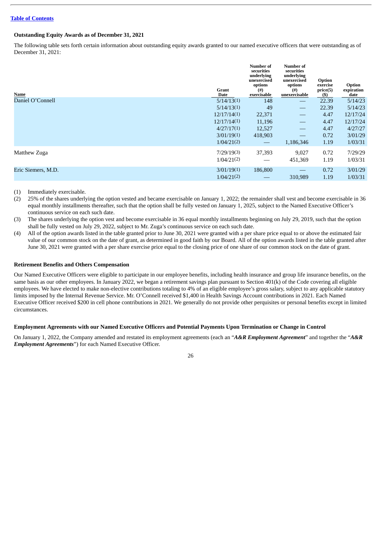## **Outstanding Equity Awards as of December 31, 2021**

The following table sets forth certain information about outstanding equity awards granted to our named executive officers that were outstanding as of December 31, 2021:

| Name               | Grant<br>Date            | Number of<br>securities<br>underlying<br>unexercised<br>options<br>(#)<br>exercisable | <b>Number of</b><br>securities<br>underlying<br>unexercised<br>options<br>(# )<br>unexercisable | Option<br>exercise<br>price(5)<br>$($)$ | Option<br>expiration<br>date |
|--------------------|--------------------------|---------------------------------------------------------------------------------------|-------------------------------------------------------------------------------------------------|-----------------------------------------|------------------------------|
| Daniel O'Connell   | 5/14/13(1)               | 148                                                                                   |                                                                                                 | 22.39                                   | 5/14/23                      |
|                    | 5/14/13(1)               | 49                                                                                    | $\overline{\phantom{m}}$                                                                        | 22.39                                   | 5/14/23                      |
|                    | 12/17/14(1)              | 22,371                                                                                | $\overline{\phantom{m}}$                                                                        | 4.47                                    | 12/17/24                     |
|                    | 12/17/14(1)              | 11,196                                                                                |                                                                                                 | 4.47                                    | 12/17/24                     |
|                    | 4/27/17(1)               | 12,527                                                                                | $\overline{\phantom{m}}$                                                                        | 4.47                                    | 4/27/27                      |
|                    | 3/01/19(1)               | 418,903                                                                               |                                                                                                 | 0.72                                    | 3/01/29                      |
|                    | 1/04/21(2)               | $\hspace{0.05cm}$                                                                     | 1,186,346                                                                                       | 1.19                                    | 1/03/31                      |
| Matthew Zuga       | 7/29/19(3)<br>1/04/21(2) | 37,393                                                                                | 9,027<br>451,369                                                                                | 0.72<br>1.19                            | 7/29/29<br>1/03/31           |
| Eric Siemers, M.D. | 3/01/19(1)<br>1/04/21(2) | 186,800                                                                               | $\overline{\phantom{0}}$<br>310,989                                                             | 0.72<br>1.19                            | 3/01/29<br>1/03/31           |
|                    |                          |                                                                                       |                                                                                                 |                                         |                              |

(1) Immediately exercisable.

(2) 25% of the shares underlying the option vested and became exercisable on January 1, 2022; the remainder shall vest and become exercisable in 36 equal monthly installments thereafter, such that the option shall be fully vested on January 1, 2025, subject to the Named Executive Officer's continuous service on each such date.

(3) The shares underlying the option vest and become exercisable in 36 equal monthly installments beginning on July 29, 2019, such that the option shall be fully vested on July 29, 2022, subject to Mr. Zuga's continuous service on each such date.

(4) All of the option awards listed in the table granted prior to June 30, 2021 were granted with a per share price equal to or above the estimated fair value of our common stock on the date of grant, as determined in good faith by our Board. All of the option awards listed in the table granted after June 30, 2021 were granted with a per share exercise price equal to the closing price of one share of our common stock on the date of grant.

## **Retirement Benefits and Others Compensation**

Our Named Executive Officers were eligible to participate in our employee benefits, including health insurance and group life insurance benefits, on the same basis as our other employees. In January 2022, we began a retirement savings plan pursuant to Section 401(k) of the Code covering all eligible employees. We have elected to make non-elective contributions totaling to 4% of an eligible employee's gross salary, subject to any applicable statutory limits imposed by the Internal Revenue Service. Mr. O'Connell received \$1,400 in Health Savings Account contributions in 2021. Each Named Executive Officer received \$200 in cell phone contributions in 2021. We generally do not provide other perquisites or personal benefits except in limited circumstances.

## Employment Agreements with our Named Executive Officers and Potential Payments Upon Termination or Change in Control

On January 1, 2022, the Company amended and restated its employment agreements (each an "*A&R Employment Agreement*" and together the "*A&R Employment Agreements*") for each Named Executive Officer.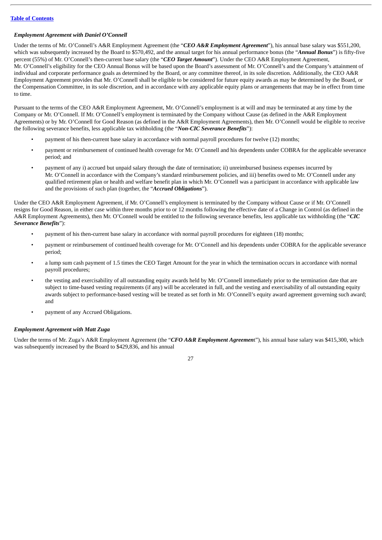## *Employment Agreement with Daniel O'Connell*

Under the terms of Mr. O'Connell's A&R Employment Agreement (the "*CEO A&R Employment Agreement*"), his annual base salary was \$551,200, which was subsequently increased by the Board to \$570,492, and the annual target for his annual performance bonus (the "*Annual Bonus*") is fifty-five percent (55%) of Mr. O'Connell's then-current base salary (the "*CEO Target Amount*"). Under the CEO A&R Employment Agreement, Mr. O'Connell's eligibility for the CEO Annual Bonus will be based upon the Board's assessment of Mr. O'Connell's and the Company's attainment of individual and corporate performance goals as determined by the Board, or any committee thereof, in its sole discretion. Additionally, the CEO A&R Employment Agreement provides that Mr. O'Connell shall be eligible to be considered for future equity awards as may be determined by the Board, or the Compensation Committee, in its sole discretion, and in accordance with any applicable equity plans or arrangements that may be in effect from time to time.

Pursuant to the terms of the CEO A&R Employment Agreement, Mr. O'Connell's employment is at will and may be terminated at any time by the Company or Mr. O'Connell. If Mr. O'Connell's employment is terminated by the Company without Cause (as defined in the A&R Employment Agreements) or by Mr. O'Connell for Good Reason (as defined in the A&R Employment Agreements), then Mr. O'Connell would be eligible to receive the following severance benefits, less applicable tax withholding (the "*Non-CIC Severance Benefits*"):

- payment of his then-current base salary in accordance with normal payroll procedures for twelve (12) months;
- payment or reimbursement of continued health coverage for Mr. O'Connell and his dependents under COBRA for the applicable severance period; and
- payment of any i) accrued but unpaid salary through the date of termination; ii) unreimbursed business expenses incurred by Mr. O'Connell in accordance with the Company's standard reimbursement policies, and iii) benefits owed to Mr. O'Connell under any qualified retirement plan or health and welfare benefit plan in which Mr. O'Connell was a participant in accordance with applicable law and the provisions of such plan (together, the "*Accrued Obligations*").

Under the CEO A&R Employment Agreement, if Mr. O'Connell's employment is terminated by the Company without Cause or if Mr. O'Connell resigns for Good Reason, in either case within three months prior to or 12 months following the effective date of a Change in Control (as defined in the A&R Employment Agreements), then Mr. O'Connell would be entitled to the following severance benefits, less applicable tax withholding (the "*CIC Severance Benefits*"):

- payment of his then-current base salary in accordance with normal payroll procedures for eighteen (18) months;
- payment or reimbursement of continued health coverage for Mr. O'Connell and his dependents under COBRA for the applicable severance period;
- a lump sum cash payment of 1.5 times the CEO Target Amount for the year in which the termination occurs in accordance with normal payroll procedures;
- the vesting and exercisability of all outstanding equity awards held by Mr. O'Connell immediately prior to the termination date that are subject to time-based vesting requirements (if any) will be accelerated in full, and the vesting and exercisability of all outstanding equity awards subject to performance-based vesting will be treated as set forth in Mr. O'Connell's equity award agreement governing such award; and
- payment of any Accrued Obligations.

## *Employment Agreement with Matt Zuga*

Under the terms of Mr. Zuga's A&R Employment Agreement (the "*CFO A&R Employment Agreemen*t"), his annual base salary was \$415,300, which was subsequently increased by the Board to \$429,836, and his annual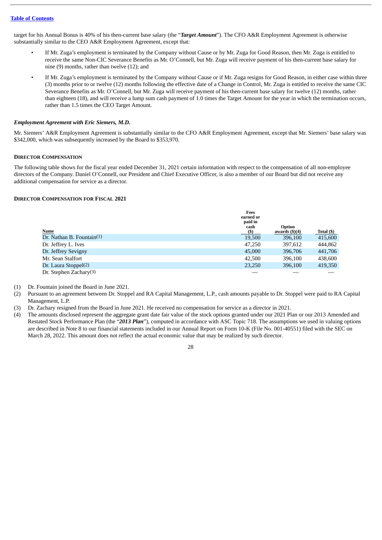target for his Annual Bonus is 40% of his then-current base salary (the "*Target Amount*"). The CFO A&R Employment Agreement is otherwise substantially similar to the CEO A&R Employment Agreement, except that:

- If Mr. Zuga's employment is terminated by the Company without Cause or by Mr. Zuga for Good Reason, then Mr. Zuga is entitled to receive the same Non-CIC Severance Benefits as Mr. O'Connell, but Mr. Zuga will receive payment of his then-current base salary for nine (9) months, rather than twelve (12); and
- If Mr. Zuga's employment is terminated by the Company without Cause or if Mr. Zuga resigns for Good Reason, in either case within three (3) months prior to or twelve (12) months following the effective date of a Change in Control, Mr. Zuga is entitled to receive the same CIC Severance Benefits as Mr. O'Connell, but Mr. Zuga will receive payment of his then-current base salary for twelve (12) months, rather than eighteen (18), and will receive a lump sum cash payment of 1.0 times the Target Amount for the year in which the termination occurs, rather than 1.5 times the CEO Target Amount.

## *Employment Agreement with Eric Siemers, M.D.*

Mr. Siemers' A&R Employment Agreement is substantially similar to the CFO A&R Employment Agreement, except that Mr. Siemers' base salary was \$342,000, which was subsequently increased by the Board to \$353,970.

## <span id="page-32-0"></span>**DIRECTOR COMPENSATION**

The following table shows for the fiscal year ended December 31, 2021 certain information with respect to the compensation of all non-employee directors of the Company. Daniel O'Connell, our President and Chief Executive Officer, is also a member of our Board but did not receive any additional compensation for service as a director.

## **DIRECTOR COMPENSATION FOR FISCAL 2021**

|                           | Fees<br>earned or<br>paid in<br>cash | <b>Option</b>           |            |
|---------------------------|--------------------------------------|-------------------------|------------|
| Name                      | $\left( \text{S}\right)$             | awards $(\text{\$})(4)$ | Total (\$) |
| Dr. Nathan B. Fountain(1) | 19.500                               | 396,100                 | 415,600    |
| Dr. Jeffrey L. Ives       | 47.250                               | 397,612                 | 444,862    |
| Dr. Jeffrey Sevigny       | 45,000                               | 396,706                 | 441,706    |
| Mr. Sean Stalfort         | 42,500                               | 396,100                 | 438,600    |
| Dr. Laura Stoppel(2)      | 23.250                               | 396,100                 | 419,350    |
| Dr. Stephen Zachary $(3)$ |                                      |                         |            |

(1) Dr. Fountain joined the Board in June 2021.

- (2) Pursuant to an agreement between Dr. Stoppel and RA Capital Management, L.P., cash amounts payable to Dr. Stoppel were paid to RA Capital Management, L.P.
- (3) Dr. Zachary resigned from the Board in June 2021. He received no compensation for service as a director in 2021.
- (4) The amounts disclosed represent the aggregate grant date fair value of the stock options granted under our 2021 Plan or our 2013 Amended and Restated Stock Performance Plan (the "*2013 Plan*"), computed in accordance with ASC Topic 718. The assumptions we used in valuing options are described in Note 8 to our financial statements included in our Annual Report on Form 10-K (File No. 001-40551) filed with the SEC on March 28, 2022. This amount does not reflect the actual economic value that may be realized by such director.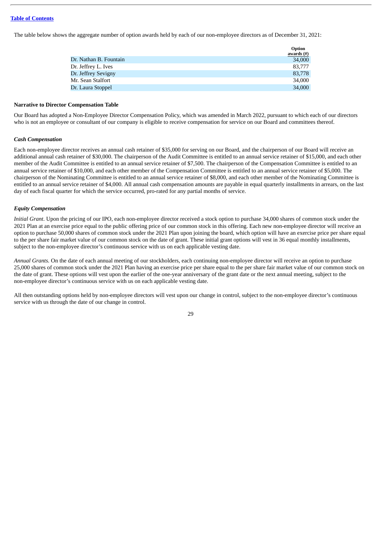The table below shows the aggregate number of option awards held by each of our non-employee directors as of December 31, 2021:

|                        | Option<br>awards (#) |
|------------------------|----------------------|
| Dr. Nathan B. Fountain | 34,000               |
| Dr. Jeffrey L. Ives    | 83,777               |
| Dr. Jeffrey Sevigny    | 83,778               |
| Mr. Sean Stalfort      | 34,000               |
| Dr. Laura Stoppel      | 34,000               |

#### **Narrative to Director Compensation Table**

Our Board has adopted a Non-Employee Director Compensation Policy, which was amended in March 2022, pursuant to which each of our directors who is not an employee or consultant of our company is eligible to receive compensation for service on our Board and committees thereof.

#### *Cash Compensation*

Each non-employee director receives an annual cash retainer of \$35,000 for serving on our Board, and the chairperson of our Board will receive an additional annual cash retainer of \$30,000. The chairperson of the Audit Committee is entitled to an annual service retainer of \$15,000, and each other member of the Audit Committee is entitled to an annual service retainer of \$7,500. The chairperson of the Compensation Committee is entitled to an annual service retainer of \$10,000, and each other member of the Compensation Committee is entitled to an annual service retainer of \$5,000. The chairperson of the Nominating Committee is entitled to an annual service retainer of \$8,000, and each other member of the Nominating Committee is entitled to an annual service retainer of \$4,000. All annual cash compensation amounts are payable in equal quarterly installments in arrears, on the last day of each fiscal quarter for which the service occurred, pro-rated for any partial months of service.

#### *Equity Compensation*

*Initial Grant*. Upon the pricing of our IPO, each non-employee director received a stock option to purchase 34,000 shares of common stock under the 2021 Plan at an exercise price equal to the public offering price of our common stock in this offering. Each new non-employee director will receive an option to purchase 50,000 shares of common stock under the 2021 Plan upon joining the board, which option will have an exercise price per share equal to the per share fair market value of our common stock on the date of grant. These initial grant options will vest in 36 equal monthly installments, subject to the non-employee director's continuous service with us on each applicable vesting date.

*Annual Grants.* On the date of each annual meeting of our stockholders, each continuing non-employee director will receive an option to purchase 25,000 shares of common stock under the 2021 Plan having an exercise price per share equal to the per share fair market value of our common stock on the date of grant. These options will vest upon the earlier of the one-year anniversary of the grant date or the next annual meeting, subject to the non-employee director's continuous service with us on each applicable vesting date.

All then outstanding options held by non-employee directors will vest upon our change in control, subject to the non-employee director's continuous service with us through the date of our change in control.

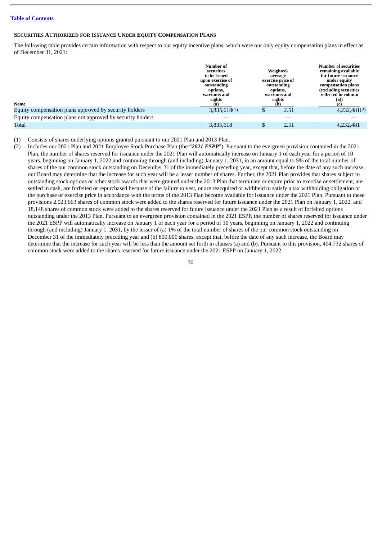#### <span id="page-34-0"></span>**SECURITIES AUTHORIZED FOR ISSUANCE UNDER EQUITY COMPENSATION PLANS**

The following table provides certain information with respect to our equity incentive plans, which were our only equity compensation plans in effect as of December 31, 2021:

|                                                            | Number of<br>securities<br>to be issued<br>upon exercise of<br>outstanding<br>options,<br>warrants and<br>rights | Weighted-<br>average<br>exercise price of<br>outstanding<br>options,<br>warrants and<br>rights | <b>Number of securities</b><br>remaining available<br>for future issuance<br>under equity<br>compensation plans<br>(excluding securities)<br>reflected in column<br>(a)) |
|------------------------------------------------------------|------------------------------------------------------------------------------------------------------------------|------------------------------------------------------------------------------------------------|--------------------------------------------------------------------------------------------------------------------------------------------------------------------------|
| Name                                                       |                                                                                                                  | (b)                                                                                            |                                                                                                                                                                          |
| Equity compensation plans approved by security holders     | 3,835,618(1)                                                                                                     | 2.51                                                                                           | 4,232,481(2)                                                                                                                                                             |
| Equity compensation plans not approved by security holders |                                                                                                                  |                                                                                                |                                                                                                                                                                          |
| Total                                                      | 3,835,618                                                                                                        | 2.51                                                                                           | 4,232,481                                                                                                                                                                |

#### (1) Consists of shares underlying options granted pursuant to our 2021 Plan and 2013 Plan.

(2) Includes our 2021 Plan and 2021 Employee Stock Purchase Plan (the "*2021 ESPP*"). Pursuant to the evergreen provision contained in the 2021 Plan, the number of shares reserved for issuance under the 2021 Plan will automatically increase on January 1 of each year for a period of 10 years, beginning on January 1, 2022 and continuing through (and including) January 1, 2031, in an amount equal to 5% of the total number of shares of the our common stock outstanding on December 31 of the immediately preceding year, except that, before the date of any such increase, our Board may determine that the increase for such year will be a lesser number of shares. Further, the 2021 Plan provides that shares subject to outstanding stock options or other stock awards that were granted under the 2013 Plan that terminate or expire prior to exercise or settlement, are settled in cash, are forfeited or repurchased because of the failure to vest, or are reacquired or withheld to satisfy a tax withholding obligation or the purchase or exercise price in accordance with the terms of the 2013 Plan become available for issuance under the 2021 Plan. Pursuant to these provisions 2,023,663 shares of common stock were added to the shares reserved for future issuance under the 2021 Plan on January 1, 2022, and 18,148 shares of common stock were added to the shares reserved for future issuance under the 2021 Plan as a result of forfeited options outstanding under the 2013 Plan. Pursuant to an evergreen provision contained in the 2021 ESPP, the number of shares reserved for issuance under the 2021 ESPP will automatically increase on January 1 of each year for a period of 10 years, beginning on January 1, 2022 and continuing through (and including) January 1, 2031, by the lesser of (a) 1% of the total number of shares of the our common stock outstanding on December 31 of the immediately preceding year and (b) 800,000 shares, except that, before the date of any such increase, the Board may determine that the increase for such year will be less than the amount set forth in clauses (a) and (b). Pursuant to this provision, 404,732 shares of common stock were added to the shares reserved for future issuance under the 2021 ESPP on January 1, 2022.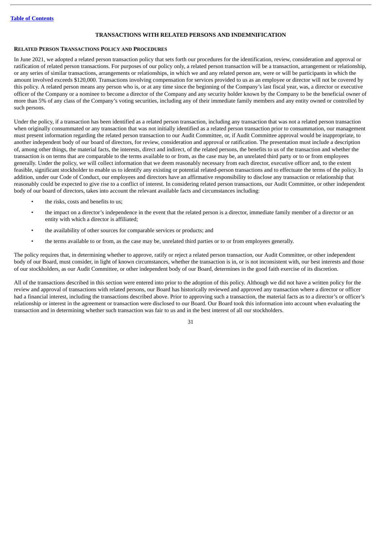## **TRANSACTIONS WITH RELATED PERSONS AND INDEMNIFICATION**

### <span id="page-35-1"></span><span id="page-35-0"></span>**RELATED PERSON TRANSACTIONS POLICY AND PROCEDURES**

In June 2021, we adopted a related person transaction policy that sets forth our procedures for the identification, review, consideration and approval or ratification of related person transactions. For purposes of our policy only, a related person transaction will be a transaction, arrangement or relationship, or any series of similar transactions, arrangements or relationships, in which we and any related person are, were or will be participants in which the amount involved exceeds \$120,000. Transactions involving compensation for services provided to us as an employee or director will not be covered by this policy. A related person means any person who is, or at any time since the beginning of the Company's last fiscal year, was, a director or executive officer of the Company or a nominee to become a director of the Company and any security holder known by the Company to be the beneficial owner of more than 5% of any class of the Company's voting securities, including any of their immediate family members and any entity owned or controlled by such persons.

Under the policy, if a transaction has been identified as a related person transaction, including any transaction that was not a related person transaction when originally consummated or any transaction that was not initially identified as a related person transaction prior to consummation, our management must present information regarding the related person transaction to our Audit Committee, or, if Audit Committee approval would be inappropriate, to another independent body of our board of directors, for review, consideration and approval or ratification. The presentation must include a description of, among other things, the material facts, the interests, direct and indirect, of the related persons, the benefits to us of the transaction and whether the transaction is on terms that are comparable to the terms available to or from, as the case may be, an unrelated third party or to or from employees generally. Under the policy, we will collect information that we deem reasonably necessary from each director, executive officer and, to the extent feasible, significant stockholder to enable us to identify any existing or potential related-person transactions and to effectuate the terms of the policy. In addition, under our Code of Conduct, our employees and directors have an affirmative responsibility to disclose any transaction or relationship that reasonably could be expected to give rise to a conflict of interest. In considering related person transactions, our Audit Committee, or other independent body of our board of directors, takes into account the relevant available facts and circumstances including:

- the risks, costs and benefits to us:
- the impact on a director's independence in the event that the related person is a director, immediate family member of a director or an entity with which a director is affiliated;
- the availability of other sources for comparable services or products; and
- the terms available to or from, as the case may be, unrelated third parties or to or from employees generally.

The policy requires that, in determining whether to approve, ratify or reject a related person transaction, our Audit Committee, or other independent body of our Board, must consider, in light of known circumstances, whether the transaction is in, or is not inconsistent with, our best interests and those of our stockholders, as our Audit Committee, or other independent body of our Board, determines in the good faith exercise of its discretion.

All of the transactions described in this section were entered into prior to the adoption of this policy. Although we did not have a written policy for the review and approval of transactions with related persons, our Board has historically reviewed and approved any transaction where a director or officer had a financial interest, including the transactions described above. Prior to approving such a transaction, the material facts as to a director's or officer's relationship or interest in the agreement or transaction were disclosed to our Board. Our Board took this information into account when evaluating the transaction and in determining whether such transaction was fair to us and in the best interest of all our stockholders.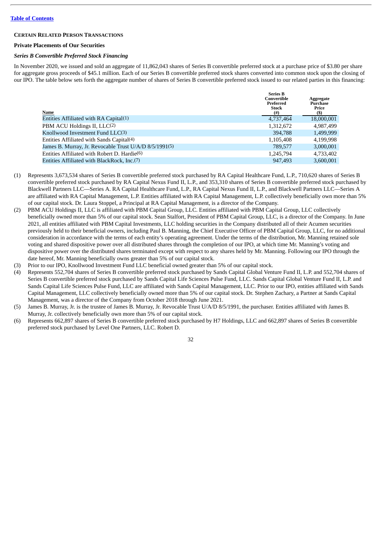#### <span id="page-36-0"></span>**CERTAIN RELATED PERSON TRANSACTIONS**

#### **Private Placements of Our Securities**

#### *Series B Convertible Preferred Stock Financing*

In November 2020, we issued and sold an aggregate of 11,862,043 shares of Series B convertible preferred stock at a purchase price of \$3.80 per share for aggregate gross proceeds of \$45.1 million. Each of our Series B convertible preferred stock shares converted into common stock upon the closing of our IPO. The table below sets forth the aggregate number of shares of Series B convertible preferred stock issued to our related parties in this financing:

| Name                                                    | <b>Series B</b><br>Convertible<br>Preferred<br><b>Stock</b><br>$^{(#)}$ | Aggregate<br>Purchase<br>Price<br>(S) |
|---------------------------------------------------------|-------------------------------------------------------------------------|---------------------------------------|
| Entities Affiliated with RA Capital(1)                  | 4,737,464                                                               | 18,000,001                            |
| PBM ACU Holdings II, LLC(2)                             | 1,312,672                                                               | 4,987,499                             |
| Knollwood Investment Fund $LLC(3)$                      | 394,788                                                                 | 1,499,999                             |
| Entities Affiliated with Sands Capital(4)               | 1,105,408                                                               | 4,199,998                             |
| James B. Murray, Jr. Revocable Trust U/A/D 8/5/1991(5)  | 789,577                                                                 | 3,000,001                             |
| Entities Affiliated with Robert D. Hardie(6)            | 1,245,794                                                               | 4,733,402                             |
| Entities Affiliated with BlackRock, Inc. <sup>(7)</sup> | 947,493                                                                 | 3.600.001                             |

- (1) Represents 3,673,534 shares of Series B convertible preferred stock purchased by RA Capital Healthcare Fund, L.P., 710,620 shares of Series B convertible preferred stock purchased by RA Capital Nexus Fund II, L.P., and 353,310 shares of Series B convertible preferred stock purchased by Blackwell Partners LLC—Series A. RA Capital Healthcare Fund, L.P., RA Capital Nexus Fund II, L.P., and Blackwell Partners LLC—Series A are affiliated with RA Capital Management, L.P. Entities affiliated with RA Capital Management, L.P. collectively beneficially own more than 5% of our capital stock. Dr. Laura Stoppel, a Principal at RA Capital Management, is a director of the Company.
- (2) PBM ACU Holdings II, LLC is affiliated with PBM Capital Group, LLC. Entities affiliated with PBM Capital Group, LLC collectively beneficially owned more than 5% of our capital stock. Sean Stalfort, President of PBM Capital Group, LLC, is a director of the Company. In June 2021, all entities affiliated with PBM Capital Investments, LLC holding securities in the Company distributed all of their Acumen securities previously held to their beneficial owners, including Paul B. Manning, the Chief Executive Officer of PBM Capital Group, LLC, for no additional consideration in accordance with the terms of each entity's operating agreement. Under the terms of the distribution, Mr. Manning retained sole voting and shared dispositive power over all distributed shares through the completion of our IPO, at which time Mr. Manning's voting and dispositive power over the distributed shares terminated except with respect to any shares held by Mr. Manning. Following our IPO through the date hereof, Mr. Manning beneficially owns greater than 5% of our capital stock.
- (3) Prior to our IPO, Knollwood Investment Fund LLC beneficial owned greater than 5% of our capital stock.
- (4) Represents 552,704 shares of Series B convertible preferred stock purchased by Sands Capital Global Venture Fund II, L.P. and 552,704 shares of Series B convertible preferred stock purchased by Sands Capital Life Sciences Pulse Fund, LLC. Sands Capital Global Venture Fund II, L.P. and Sands Capital Life Sciences Pulse Fund, LLC are affiliated with Sands Capital Management, LLC. Prior to our IPO, entities affiliated with Sands Capital Management, LLC collectively beneficially owned more than 5% of our capital stock. Dr. Stephen Zachary, a Partner at Sands Capital Management, was a director of the Company from October 2018 through June 2021.
- (5) James B. Murray, Jr. is the trustee of James B. Murray, Jr. Revocable Trust U/A/D 8/5/1991, the purchaser. Entities affiliated with James B. Murray, Jr. collectively beneficially own more than 5% of our capital stock.
- (6) Represents 662,897 shares of Series B convertible preferred stock purchased by H7 Holdings, LLC and 662,897 shares of Series B convertible preferred stock purchased by Level One Partners, LLC. Robert D.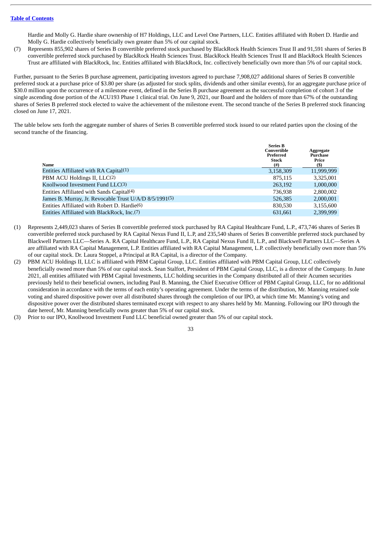Hardie and Molly G. Hardie share ownership of H7 Holdings, LLC and Level One Partners, LLC. Entities affiliated with Robert D. Hardie and Molly G. Hardie collectively beneficially own greater than 5% of our capital stock.

(7) Represents 855,902 shares of Series B convertible preferred stock purchased by BlackRock Health Sciences Trust II and 91,591 shares of Series B convertible preferred stock purchased by BlackRock Health Sciences Trust. BlackRock Health Sciences Trust II and BlackRock Health Sciences Trust are affiliated with BlackRock, Inc. Entities affiliated with BlackRock, Inc. collectively beneficially own more than 5% of our capital stock.

Further, pursuant to the Series B purchase agreement, participating investors agreed to purchase 7,908,027 additional shares of Series B convertible preferred stock at a purchase price of \$3.80 per share (as adjusted for stock splits, dividends and other similar events), for an aggregate purchase price of \$30.0 million upon the occurrence of a milestone event, defined in the Series B purchase agreement as the successful completion of cohort 3 of the single ascending dose portion of the ACU193 Phase 1 clinical trial. On June 9, 2021, our Board and the holders of more than 67% of the outstanding shares of Series B preferred stock elected to waive the achievement of the milestone event. The second tranche of the Series B preferred stock financing closed on June 17, 2021.

The table below sets forth the aggregate number of shares of Series B convertible preferred stock issued to our related parties upon the closing of the second tranche of the financing.

| Name                                                    | <b>Series B</b><br>Convertible<br>Preferred<br><b>Stock</b><br>(#) | Aggregate<br>Purchase<br>Price<br>(\$) |
|---------------------------------------------------------|--------------------------------------------------------------------|----------------------------------------|
| Entities Affiliated with RA Capital(1)                  | 3,158,309                                                          | 11,999,999                             |
| PBM ACU Holdings II, LLC(2)                             | 875,115                                                            | 3,325,001                              |
| Knollwood Investment Fund $LLC(3)$                      | 263,192                                                            | 1,000,000                              |
| Entities Affiliated with Sands Capital(4)               | 736.938                                                            | 2,800,002                              |
| James B. Murray, Jr. Revocable Trust U/A/D 8/5/1991(5)  | 526,385                                                            | 2,000,001                              |
| Entities Affiliated with Robert D. Hardie(6)            | 830,530                                                            | 3,155,600                              |
| Entities Affiliated with BlackRock, Inc. <sup>(7)</sup> | 631.661                                                            | 2.399.999                              |

- (1) Represents 2,449,023 shares of Series B convertible preferred stock purchased by RA Capital Healthcare Fund, L.P., 473,746 shares of Series B convertible preferred stock purchased by RA Capital Nexus Fund II, L.P, and 235,540 shares of Series B convertible preferred stock purchased by Blackwell Partners LLC—Series A. RA Capital Healthcare Fund, L.P., RA Capital Nexus Fund II, L.P., and Blackwell Partners LLC—Series A are affiliated with RA Capital Management, L.P. Entities affiliated with RA Capital Management, L.P. collectively beneficially own more than 5% of our capital stock. Dr. Laura Stoppel, a Principal at RA Capital, is a director of the Company.
- (2) PBM ACU Holdings II, LLC is affiliated with PBM Capital Group, LLC. Entities affiliated with PBM Capital Group, LLC collectively beneficially owned more than 5% of our capital stock. Sean Stalfort, President of PBM Capital Group, LLC, is a director of the Company. In June 2021, all entities affiliated with PBM Capital Investments, LLC holding securities in the Company distributed all of their Acumen securities previously held to their beneficial owners, including Paul B. Manning, the Chief Executive Officer of PBM Capital Group, LLC, for no additional consideration in accordance with the terms of each entity's operating agreement. Under the terms of the distribution, Mr. Manning retained sole voting and shared dispositive power over all distributed shares through the completion of our IPO, at which time Mr. Manning's voting and dispositive power over the distributed shares terminated except with respect to any shares held by Mr. Manning. Following our IPO through the date hereof, Mr. Manning beneficially owns greater than 5% of our capital stock.
- (3) Prior to our IPO, Knollwood Investment Fund LLC beneficial owned greater than 5% of our capital stock.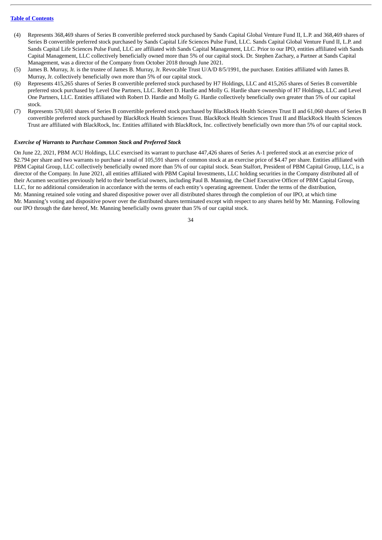- (4) Represents 368,469 shares of Series B convertible preferred stock purchased by Sands Capital Global Venture Fund II, L.P. and 368,469 shares of Series B convertible preferred stock purchased by Sands Capital Life Sciences Pulse Fund, LLC. Sands Capital Global Venture Fund II, L.P. and Sands Capital Life Sciences Pulse Fund, LLC are affiliated with Sands Capital Management, LLC. Prior to our IPO, entities affiliated with Sands Capital Management, LLC collectively beneficially owned more than 5% of our capital stock. Dr. Stephen Zachary, a Partner at Sands Capital Management, was a director of the Company from October 2018 through June 2021.
- (5) James B. Murray, Jr. is the trustee of James B. Murray, Jr. Revocable Trust U/A/D 8/5/1991, the purchaser. Entities affiliated with James B. Murray, Jr. collectively beneficially own more than 5% of our capital stock.
- (6) Represents 415,265 shares of Series B convertible preferred stock purchased by H7 Holdings, LLC and 415,265 shares of Series B convertible preferred stock purchased by Level One Partners, LLC. Robert D. Hardie and Molly G. Hardie share ownership of H7 Holdings, LLC and Level One Partners, LLC. Entities affiliated with Robert D. Hardie and Molly G. Hardie collectively beneficially own greater than 5% of our capital stock.
- (7) Represents 570,601 shares of Series B convertible preferred stock purchased by BlackRock Health Sciences Trust II and 61,060 shares of Series B convertible preferred stock purchased by BlackRock Health Sciences Trust. BlackRock Health Sciences Trust II and BlackRock Health Sciences Trust are affiliated with BlackRock, Inc. Entities affiliated with BlackRock, Inc. collectively beneficially own more than 5% of our capital stock.

## *Exercise of Warrants to Purchase Common Stock and Preferred Stock*

On June 22, 2021, PBM ACU Holdings, LLC exercised its warrant to purchase 447,426 shares of Series A-1 preferred stock at an exercise price of \$2.794 per share and two warrants to purchase a total of 105,591 shares of common stock at an exercise price of \$4.47 per share. Entities affiliated with PBM Capital Group, LLC collectively beneficially owned more than 5% of our capital stock. Sean Stalfort, President of PBM Capital Group, LLC, is a director of the Company. In June 2021, all entities affiliated with PBM Capital Investments, LLC holding securities in the Company distributed all of their Acumen securities previously held to their beneficial owners, including Paul B. Manning, the Chief Executive Officer of PBM Capital Group, LLC, for no additional consideration in accordance with the terms of each entity's operating agreement. Under the terms of the distribution, Mr. Manning retained sole voting and shared dispositive power over all distributed shares through the completion of our IPO, at which time Mr. Manning's voting and dispositive power over the distributed shares terminated except with respect to any shares held by Mr. Manning. Following our IPO through the date hereof, Mr. Manning beneficially owns greater than 5% of our capital stock.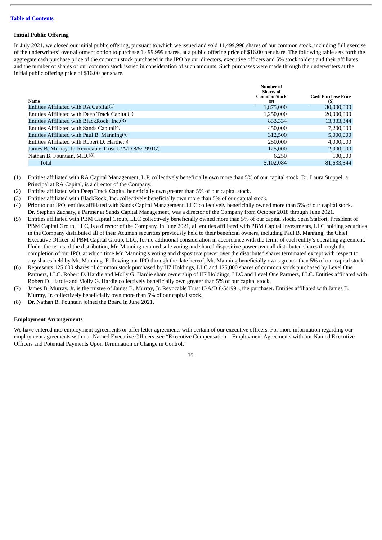## **Initial Public Offering**

In July 2021, we closed our initial public offering, pursuant to which we issued and sold 11,499,998 shares of our common stock, including full exercise of the underwriters' over-allotment option to purchase 1,499,999 shares, at a public offering price of \$16.00 per share. The following table sets forth the aggregate cash purchase price of the common stock purchased in the IPO by our directors, executive officers and 5% stockholders and their affiliates and the number of shares of our common stock issued in consideration of such amounts. Such purchases were made through the underwriters at the initial public offering price of \$16.00 per share.

|                                                        | Number of<br><b>Shares of</b>   |                                   |
|--------------------------------------------------------|---------------------------------|-----------------------------------|
| Name                                                   | <b>Common Stock</b><br>$^{(#)}$ | <b>Cash Purchase Price</b><br>(S) |
| Entities Affiliated with RA Capital(1)                 | 1,875,000                       | 30,000,000                        |
| Entities Affiliated with Deep Track Capital(2)         | 1,250,000                       | 20,000,000                        |
| Entities Affiliated with BlackRock, Inc.(3)            | 833,334                         | 13,333,344                        |
| Entities Affiliated with Sands Capital <sup>(4)</sup>  | 450,000                         | 7,200,000                         |
| Entities Affiliated with Paul B. Manning(5)            | 312,500                         | 5,000,000                         |
| Entities Affiliated with Robert D. Hardie $(6)$        | 250,000                         | 4,000,000                         |
| James B. Murray, Jr. Revocable Trust U/A/D 8/5/1991(7) | 125,000                         | 2,000,000                         |
| Nathan B. Fountain, M.D.(8)                            | 6.250                           | 100,000                           |
| Total                                                  | 5,102,084                       | 81,633,344                        |

(1) Entities affiliated with RA Capital Management, L.P. collectively beneficially own more than 5% of our capital stock. Dr. Laura Stoppel, a Principal at RA Capital, is a director of the Company.

- (2) Entities affiliated with Deep Track Capital beneficially own greater than 5% of our capital stock.
- (3) Entities affiliated with BlackRock, Inc. collectively beneficially own more than 5% of our capital stock.
- (4) Prior to our IPO, entities affiliated with Sands Capital Management, LLC collectively beneficially owned more than 5% of our capital stock. Dr. Stephen Zachary, a Partner at Sands Capital Management, was a director of the Company from October 2018 through June 2021.
- (5) Entities affiliated with PBM Capital Group, LLC collectively beneficially owned more than 5% of our capital stock. Sean Stalfort, President of PBM Capital Group, LLC, is a director of the Company. In June 2021, all entities affiliated with PBM Capital Investments, LLC holding securities in the Company distributed all of their Acumen securities previously held to their beneficial owners, including Paul B. Manning, the Chief Executive Officer of PBM Capital Group, LLC, for no additional consideration in accordance with the terms of each entity's operating agreement. Under the terms of the distribution, Mr. Manning retained sole voting and shared dispositive power over all distributed shares through the completion of our IPO, at which time Mr. Manning's voting and dispositive power over the distributed shares terminated except with respect to any shares held by Mr. Manning. Following our IPO through the date hereof, Mr. Manning beneficially owns greater than 5% of our capital stock.
- (6) Represents 125,000 shares of common stock purchased by H7 Holdings, LLC and 125,000 shares of common stock purchased by Level One Partners, LLC. Robert D. Hardie and Molly G. Hardie share ownership of H7 Holdings, LLC and Level One Partners, LLC. Entities affiliated with Robert D. Hardie and Molly G. Hardie collectively beneficially own greater than 5% of our capital stock.
- (7) James B. Murray, Jr. is the trustee of James B. Murray, Jr. Revocable Trust U/A/D 8/5/1991, the purchaser. Entities affiliated with James B. Murray, Jr. collectively beneficially own more than 5% of our capital stock.
- (8) Dr. Nathan B. Fountain joined the Board in June 2021.

## **Employment Arrangements**

We have entered into employment agreements or offer letter agreements with certain of our executive officers. For more information regarding our employment agreements with our Named Executive Officers, see "Executive Compensation—Employment Agreements with our Named Executive Officers and Potential Payments Upon Termination or Change in Control."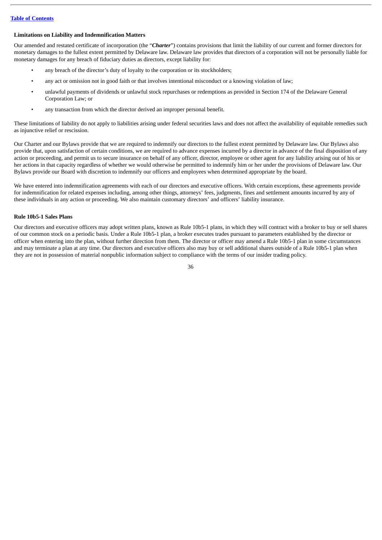## **Limitations on Liability and Indemnification Matters**

Our amended and restated certificate of incorporation (the "*Charter*") contains provisions that limit the liability of our current and former directors for monetary damages to the fullest extent permitted by Delaware law. Delaware law provides that directors of a corporation will not be personally liable for monetary damages for any breach of fiduciary duties as directors, except liability for:

- any breach of the director's duty of loyalty to the corporation or its stockholders;
- any act or omission not in good faith or that involves intentional misconduct or a knowing violation of law;
- unlawful payments of dividends or unlawful stock repurchases or redemptions as provided in Section 174 of the Delaware General Corporation Law; or
- any transaction from which the director derived an improper personal benefit.

These limitations of liability do not apply to liabilities arising under federal securities laws and does not affect the availability of equitable remedies such as injunctive relief or rescission.

Our Charter and our Bylaws provide that we are required to indemnify our directors to the fullest extent permitted by Delaware law. Our Bylaws also provide that, upon satisfaction of certain conditions, we are required to advance expenses incurred by a director in advance of the final disposition of any action or proceeding, and permit us to secure insurance on behalf of any officer, director, employee or other agent for any liability arising out of his or her actions in that capacity regardless of whether we would otherwise be permitted to indemnify him or her under the provisions of Delaware law. Our Bylaws provide our Board with discretion to indemnify our officers and employees when determined appropriate by the board.

We have entered into indemnification agreements with each of our directors and executive officers. With certain exceptions, these agreements provide for indemnification for related expenses including, among other things, attorneys' fees, judgments, fines and settlement amounts incurred by any of these individuals in any action or proceeding. We also maintain customary directors' and officers' liability insurance.

## **Rule 10b5-1 Sales Plans**

Our directors and executive officers may adopt written plans, known as Rule 10b5-1 plans, in which they will contract with a broker to buy or sell shares of our common stock on a periodic basis. Under a Rule 10b5-1 plan, a broker executes trades pursuant to parameters established by the director or officer when entering into the plan, without further direction from them. The director or officer may amend a Rule 10b5-1 plan in some circumstances and may terminate a plan at any time. Our directors and executive officers also may buy or sell additional shares outside of a Rule 10b5-1 plan when they are not in possession of material nonpublic information subject to compliance with the terms of our insider trading policy.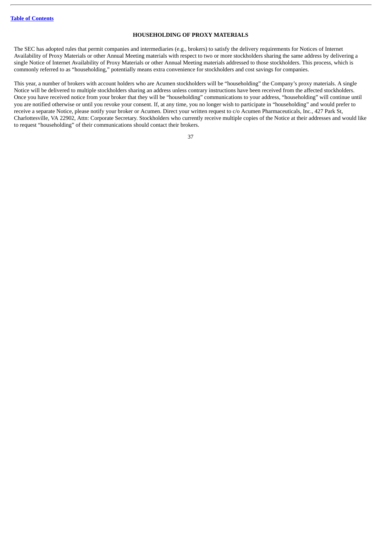## **HOUSEHOLDING OF PROXY MATERIALS**

<span id="page-41-0"></span>The SEC has adopted rules that permit companies and intermediaries (e.g., brokers) to satisfy the delivery requirements for Notices of Internet Availability of Proxy Materials or other Annual Meeting materials with respect to two or more stockholders sharing the same address by delivering a single Notice of Internet Availability of Proxy Materials or other Annual Meeting materials addressed to those stockholders. This process, which is commonly referred to as "householding," potentially means extra convenience for stockholders and cost savings for companies.

This year, a number of brokers with account holders who are Acumen stockholders will be "householding" the Company's proxy materials. A single Notice will be delivered to multiple stockholders sharing an address unless contrary instructions have been received from the affected stockholders. Once you have received notice from your broker that they will be "householding" communications to your address, "householding" will continue until you are notified otherwise or until you revoke your consent. If, at any time, you no longer wish to participate in "householding" and would prefer to receive a separate Notice, please notify your broker or Acumen. Direct your written request to c/o Acumen Pharmaceuticals, Inc., 427 Park St, Charlottesville, VA 22902, Attn: Corporate Secretary. Stockholders who currently receive multiple copies of the Notice at their addresses and would like to request "householding" of their communications should contact their brokers.

| ٠      |   |
|--------|---|
| I      | I |
| ×<br>٠ |   |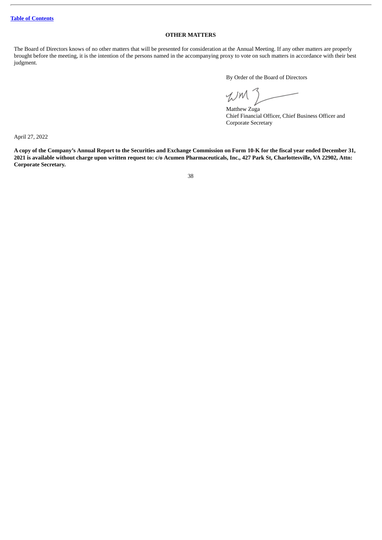## **OTHER MATTERS**

<span id="page-42-0"></span>The Board of Directors knows of no other matters that will be presented for consideration at the Annual Meeting. If any other matters are properly brought before the meeting, it is the intention of the persons named in the accompanying proxy to vote on such matters in accordance with their best judgment.

By Order of the Board of Directors

WM

Matthew Zuga Chief Financial Officer, Chief Business Officer and Corporate Secretary

April 27, 2022

A copy of the Company's Annual Report to the Securities and Exchange Commission on Form 10-K for the fiscal year ended December 31, 2021 is available without charge upon written request to: c/o Acumen Pharmaceuticals, Inc., 427 Park St, Charlottesville, VA 22902, Attn: **Corporate Secretary.**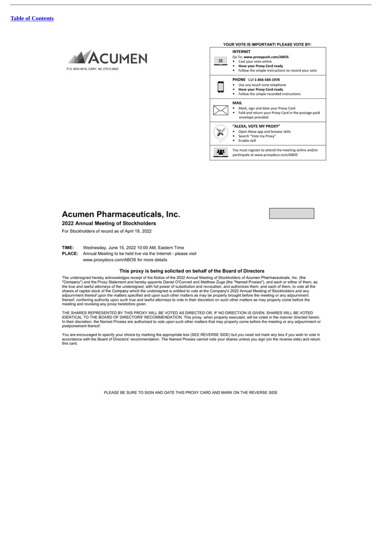



## Acumen Pharmaceuticals, Inc.

## 2022 Annual Meeting of Stockholders

For Stockholders of record as of April 18, 2022

TIME: Wednesday, June 15, 2022 10:00 AM, Eastern Time

PLACE: Annual Meeting to be held live via the Internet - please visit www.proxydocs.com/ABOS for more details

#### This proxy is being solicited on behalf of the Board of Directors

The undersigned hereby acknowledges receipt of the Notice of the 2022 Annual Meeting of Stockholders of Acumen Pharmaceuticals, Inc. (the "Company") and the Proxy Statement and hereby appoints Daniel O'Connell and Matthew Zuga (the "Named Proxies"), and each or either of them, as<br>the true and lawful attorneys of the undersigned, with full power of substituti shares of capital stock of the Company which the undersigned is entitled to vote at the Company's 2022 Annual Meeting of Stockholders and any adjournment thereof upon the matters specified and upon such other matters as ma thereof, conferring authority upon such true and lawful attorneys to vote in their discretion on such other matters as may properly come before the meeting and revoking any proxy heretofore given.

THE SHARES REPRESENTED BY THIS PROXY WILL BE VOTED AS DIRECTED OR, IF NO DIRECTION IS GIVEN, SHARES WILL BE VOTED<br>IDENTICAL TO THE BOARD OF DIRECTORS' RECOMMENDATION. This proxy, when properly executed, will be voted in th postponement thereof.

You are encouraged to specify your choice by marking the appropriate box (SEE REVERSE SIDE) but you need not mark any box if you wish to vote in<br>accordance with the Board of Directors' recommendation. The Named Proxies can this card.

PLEASE BE SURE TO SIGN AND DATE THIS PROXY CARD AND MARK ON THE REVERSE SIDE